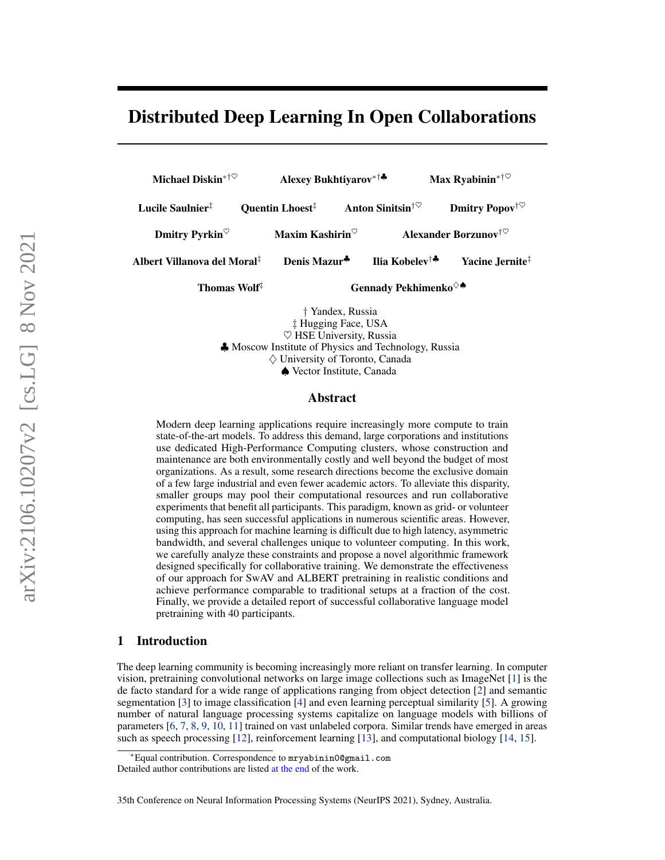# Distributed Deep Learning In Open Collaborations



 $\diamondsuit$  University of Toronto, Canada

♠ Vector Institute, Canada

#### Abstract

Modern deep learning applications require increasingly more compute to train state-of-the-art models. To address this demand, large corporations and institutions use dedicated High-Performance Computing clusters, whose construction and maintenance are both environmentally costly and well beyond the budget of most organizations. As a result, some research directions become the exclusive domain of a few large industrial and even fewer academic actors. To alleviate this disparity, smaller groups may pool their computational resources and run collaborative experiments that benefit all participants. This paradigm, known as grid- or volunteer computing, has seen successful applications in numerous scientific areas. However, using this approach for machine learning is difficult due to high latency, asymmetric bandwidth, and several challenges unique to volunteer computing. In this work, we carefully analyze these constraints and propose a novel algorithmic framework designed specifically for collaborative training. We demonstrate the effectiveness of our approach for SwAV and ALBERT pretraining in realistic conditions and achieve performance comparable to traditional setups at a fraction of the cost. Finally, we provide a detailed report of successful collaborative language model pretraining with 40 participants.

### 1 Introduction

The deep learning community is becoming increasingly more reliant on transfer learning. In computer vision, pretraining convolutional networks on large image collections such as ImageNet [\[1\]](#page-10-0) is the de facto standard for a wide range of applications ranging from object detection [\[2\]](#page-10-1) and semantic segmentation [\[3\]](#page-10-2) to image classification [\[4\]](#page-10-3) and even learning perceptual similarity [\[5\]](#page-10-4). A growing number of natural language processing systems capitalize on language models with billions of parameters [\[6,](#page-10-5) [7,](#page-10-6) [8,](#page-10-7) [9,](#page-11-0) [10,](#page-11-1) [11\]](#page-11-2) trained on vast unlabeled corpora. Similar trends have emerged in areas such as speech processing [\[12\]](#page-11-3), reinforcement learning [\[13\]](#page-11-4), and computational biology [\[14,](#page-11-5) [15\]](#page-11-6).

<sup>∗</sup>Equal contribution. Correspondence to mryabinin0@gmail.com

Detailed author contributions are listed [at the end](#page-19-0) of the work.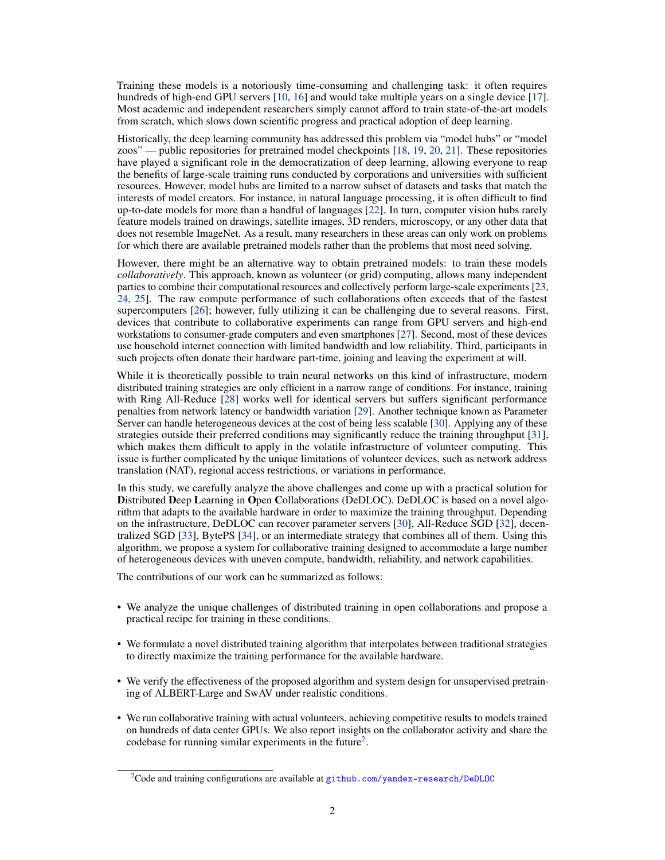Training these models is a notoriously time-consuming and challenging task: it often requires hundreds of high-end GPU servers [\[10,](#page-11-1) [16\]](#page-11-7) and would take multiple years on a single device [\[17\]](#page-11-8). Most academic and independent researchers simply cannot afford to train state-of-the-art models from scratch, which slows down scientific progress and practical adoption of deep learning.

Historically, the deep learning community has addressed this problem via "model hubs" or "model zoos" — public repositories for pretrained model checkpoints [\[18,](#page-11-9) [19,](#page-11-10) [20,](#page-11-11) [21\]](#page-11-12). These repositories have played a significant role in the democratization of deep learning, allowing everyone to reap the benefits of large-scale training runs conducted by corporations and universities with sufficient resources. However, model hubs are limited to a narrow subset of datasets and tasks that match the interests of model creators. For instance, in natural language processing, it is often difficult to find up-to-date models for more than a handful of languages [\[22\]](#page-11-13). In turn, computer vision hubs rarely feature models trained on drawings, satellite images, 3D renders, microscopy, or any other data that does not resemble ImageNet. As a result, many researchers in these areas can only work on problems for which there are available pretrained models rather than the problems that most need solving.

However, there might be an alternative way to obtain pretrained models: to train these models *collaboratively*. This approach, known as volunteer (or grid) computing, allows many independent parties to combine their computational resources and collectively perform large-scale experiments [\[23,](#page-11-14) [24,](#page-11-15) [25\]](#page-11-16). The raw compute performance of such collaborations often exceeds that of the fastest supercomputers [\[26\]](#page-11-17); however, fully utilizing it can be challenging due to several reasons. First, devices that contribute to collaborative experiments can range from GPU servers and high-end workstations to consumer-grade computers and even smartphones [\[27\]](#page-11-18). Second, most of these devices use household internet connection with limited bandwidth and low reliability. Third, participants in such projects often donate their hardware part-time, joining and leaving the experiment at will.

While it is theoretically possible to train neural networks on this kind of infrastructure, modern distributed training strategies are only efficient in a narrow range of conditions. For instance, training with Ring All-Reduce [\[28\]](#page-12-0) works well for identical servers but suffers significant performance penalties from network latency or bandwidth variation [\[29\]](#page-12-1). Another technique known as Parameter Server can handle heterogeneous devices at the cost of being less scalable [\[30\]](#page-12-2). Applying any of these strategies outside their preferred conditions may significantly reduce the training throughput [\[31\]](#page-12-3), which makes them difficult to apply in the volatile infrastructure of volunteer computing. This issue is further complicated by the unique limitations of volunteer devices, such as network address translation (NAT), regional access restrictions, or variations in performance.

In this study, we carefully analyze the above challenges and come up with a practical solution for Distributed Deep Learning in Open Collaborations (DeDLOC). DeDLOC is based on a novel algorithm that adapts to the available hardware in order to maximize the training throughput. Depending on the infrastructure, DeDLOC can recover parameter servers [\[30\]](#page-12-2), All-Reduce SGD [\[32\]](#page-12-4), decentralized SGD [\[33\]](#page-12-5), BytePS [\[34\]](#page-12-6), or an intermediate strategy that combines all of them. Using this algorithm, we propose a system for collaborative training designed to accommodate a large number of heterogeneous devices with uneven compute, bandwidth, reliability, and network capabilities.

The contributions of our work can be summarized as follows:

- We analyze the unique challenges of distributed training in open collaborations and propose a practical recipe for training in these conditions.
- We formulate a novel distributed training algorithm that interpolates between traditional strategies to directly maximize the training performance for the available hardware.
- We verify the effectiveness of the proposed algorithm and system design for unsupervised pretraining of ALBERT-Large and SwAV under realistic conditions.
- We run collaborative training with actual volunteers, achieving competitive results to models trained on hundreds of data center GPUs. We also report insights on the collaborator activity and share the codebase for running similar experiments in the future<sup>[2](#page-1-0)</sup>.

<span id="page-1-0"></span><sup>&</sup>lt;sup>2</sup>Code and training configurations are available at [github.com/yandex-research/DeDLOC](https://github.com/yandex-research/DeDLOC)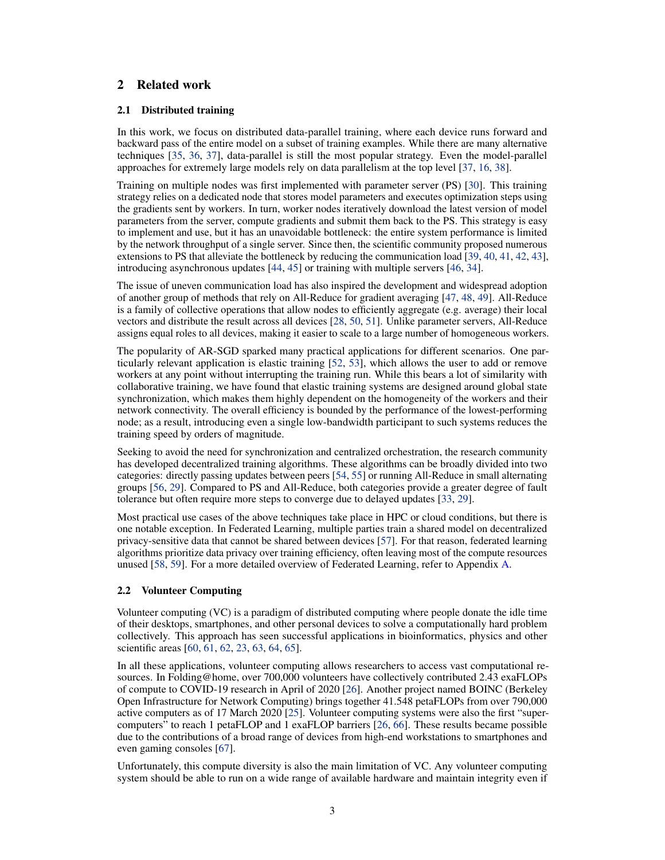# 2 Related work

### <span id="page-2-0"></span>2.1 Distributed training

In this work, we focus on distributed data-parallel training, where each device runs forward and backward pass of the entire model on a subset of training examples. While there are many alternative techniques [\[35,](#page-12-7) [36,](#page-12-8) [37\]](#page-12-9), data-parallel is still the most popular strategy. Even the model-parallel approaches for extremely large models rely on data parallelism at the top level [\[37,](#page-12-9) [16,](#page-11-7) [38\]](#page-12-10).

Training on multiple nodes was first implemented with parameter server (PS) [\[30\]](#page-12-2). This training strategy relies on a dedicated node that stores model parameters and executes optimization steps using the gradients sent by workers. In turn, worker nodes iteratively download the latest version of model parameters from the server, compute gradients and submit them back to the PS. This strategy is easy to implement and use, but it has an unavoidable bottleneck: the entire system performance is limited by the network throughput of a single server. Since then, the scientific community proposed numerous extensions to PS that alleviate the bottleneck by reducing the communication load [\[39,](#page-12-11) [40,](#page-12-12) [41,](#page-12-13) [42,](#page-12-14) [43\]](#page-12-15), introducing asynchronous updates [\[44,](#page-12-16) [45\]](#page-13-0) or training with multiple servers [\[46,](#page-13-1) [34\]](#page-12-6).

The issue of uneven communication load has also inspired the development and widespread adoption of another group of methods that rely on All-Reduce for gradient averaging [\[47,](#page-13-2) [48,](#page-13-3) [49\]](#page-13-4). All-Reduce is a family of collective operations that allow nodes to efficiently aggregate (e.g. average) their local vectors and distribute the result across all devices [\[28,](#page-12-0) [50,](#page-13-5) [51\]](#page-13-6). Unlike parameter servers, All-Reduce assigns equal roles to all devices, making it easier to scale to a large number of homogeneous workers.

The popularity of AR-SGD sparked many practical applications for different scenarios. One particularly relevant application is elastic training [\[52,](#page-13-7) [53\]](#page-13-8), which allows the user to add or remove workers at any point without interrupting the training run. While this bears a lot of similarity with collaborative training, we have found that elastic training systems are designed around global state synchronization, which makes them highly dependent on the homogeneity of the workers and their network connectivity. The overall efficiency is bounded by the performance of the lowest-performing node; as a result, introducing even a single low-bandwidth participant to such systems reduces the training speed by orders of magnitude.

Seeking to avoid the need for synchronization and centralized orchestration, the research community has developed decentralized training algorithms. These algorithms can be broadly divided into two categories: directly passing updates between peers [\[54,](#page-13-9) [55\]](#page-13-10) or running All-Reduce in small alternating groups [\[56,](#page-13-11) [29\]](#page-12-1). Compared to PS and All-Reduce, both categories provide a greater degree of fault tolerance but often require more steps to converge due to delayed updates [\[33,](#page-12-5) [29\]](#page-12-1).

Most practical use cases of the above techniques take place in HPC or cloud conditions, but there is one notable exception. In Federated Learning, multiple parties train a shared model on decentralized privacy-sensitive data that cannot be shared between devices [\[57\]](#page-13-12). For that reason, federated learning algorithms prioritize data privacy over training efficiency, often leaving most of the compute resources unused [\[58,](#page-13-13) [59\]](#page-13-14). For a more detailed overview of Federated Learning, refer to Appendix [A.](#page-20-0)

### 2.2 Volunteer Computing

Volunteer computing (VC) is a paradigm of distributed computing where people donate the idle time of their desktops, smartphones, and other personal devices to solve a computationally hard problem collectively. This approach has seen successful applications in bioinformatics, physics and other scientific areas [\[60,](#page-13-15) [61,](#page-13-16) [62,](#page-13-17) [23,](#page-11-14) [63,](#page-14-0) [64,](#page-14-1) [65\]](#page-14-2).

In all these applications, volunteer computing allows researchers to access vast computational resources. In Folding@home, over 700,000 volunteers have collectively contributed 2.43 exaFLOPs of compute to COVID-19 research in April of 2020 [\[26\]](#page-11-17). Another project named BOINC (Berkeley Open Infrastructure for Network Computing) brings together 41.548 petaFLOPs from over 790,000 active computers as of 17 March 2020 [\[25\]](#page-11-16). Volunteer computing systems were also the first "supercomputers" to reach 1 petaFLOP and 1 exaFLOP barriers [\[26,](#page-11-17) [66\]](#page-14-3). These results became possible due to the contributions of a broad range of devices from high-end workstations to smartphones and even gaming consoles [\[67\]](#page-14-4).

Unfortunately, this compute diversity is also the main limitation of VC. Any volunteer computing system should be able to run on a wide range of available hardware and maintain integrity even if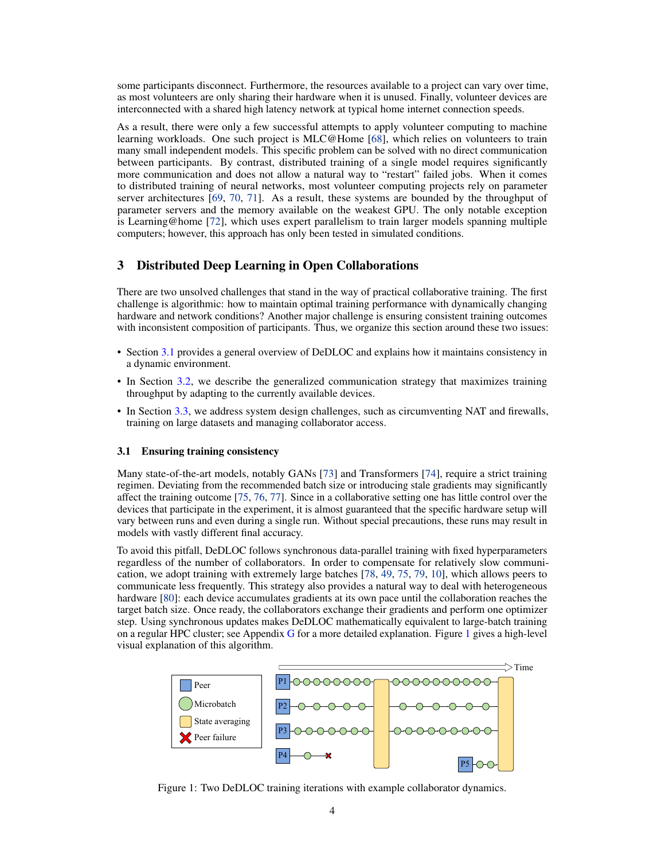some participants disconnect. Furthermore, the resources available to a project can vary over time, as most volunteers are only sharing their hardware when it is unused. Finally, volunteer devices are interconnected with a shared high latency network at typical home internet connection speeds.

As a result, there were only a few successful attempts to apply volunteer computing to machine learning workloads. One such project is MLC@Home [\[68\]](#page-14-5), which relies on volunteers to train many small independent models. This specific problem can be solved with no direct communication between participants. By contrast, distributed training of a single model requires significantly more communication and does not allow a natural way to "restart" failed jobs. When it comes to distributed training of neural networks, most volunteer computing projects rely on parameter server architectures [\[69,](#page-14-6) [70,](#page-14-7) [71\]](#page-14-8). As a result, these systems are bounded by the throughput of parameter servers and the memory available on the weakest GPU. The only notable exception is Learning@home [\[72\]](#page-14-9), which uses expert parallelism to train larger models spanning multiple computers; however, this approach has only been tested in simulated conditions.

### 3 Distributed Deep Learning in Open Collaborations

There are two unsolved challenges that stand in the way of practical collaborative training. The first challenge is algorithmic: how to maintain optimal training performance with dynamically changing hardware and network conditions? Another major challenge is ensuring consistent training outcomes with inconsistent composition of participants. Thus, we organize this section around these two issues:

- Section [3.1](#page-3-0) provides a general overview of DeDLOC and explains how it maintains consistency in a dynamic environment.
- In Section [3.2,](#page-4-0) we describe the generalized communication strategy that maximizes training throughput by adapting to the currently available devices.
- In Section [3.3,](#page-5-0) we address system design challenges, such as circumventing NAT and firewalls, training on large datasets and managing collaborator access.

#### <span id="page-3-0"></span>3.1 Ensuring training consistency

Many state-of-the-art models, notably GANs [\[73\]](#page-14-10) and Transformers [\[74\]](#page-14-11), require a strict training regimen. Deviating from the recommended batch size or introducing stale gradients may significantly affect the training outcome [\[75,](#page-14-12) [76,](#page-14-13) [77\]](#page-14-14). Since in a collaborative setting one has little control over the devices that participate in the experiment, it is almost guaranteed that the specific hardware setup will vary between runs and even during a single run. Without special precautions, these runs may result in models with vastly different final accuracy.

To avoid this pitfall, DeDLOC follows synchronous data-parallel training with fixed hyperparameters regardless of the number of collaborators. In order to compensate for relatively slow communication, we adopt training with extremely large batches [\[78,](#page-15-0) [49,](#page-13-4) [75,](#page-14-12) [79,](#page-15-1) [10\]](#page-11-1), which allows peers to communicate less frequently. This strategy also provides a natural way to deal with heterogeneous hardware [\[80\]](#page-15-2): each device accumulates gradients at its own pace until the collaboration reaches the target batch size. Once ready, the collaborators exchange their gradients and perform one optimizer step. Using synchronous updates makes DeDLOC mathematically equivalent to large-batch training on a regular HPC cluster; see Appendix [G](#page-25-0) for a more detailed explanation. Figure [1](#page-3-1) gives a high-level visual explanation of this algorithm.

<span id="page-3-1"></span>

Figure 1: Two DeDLOC training iterations with example collaborator dynamics.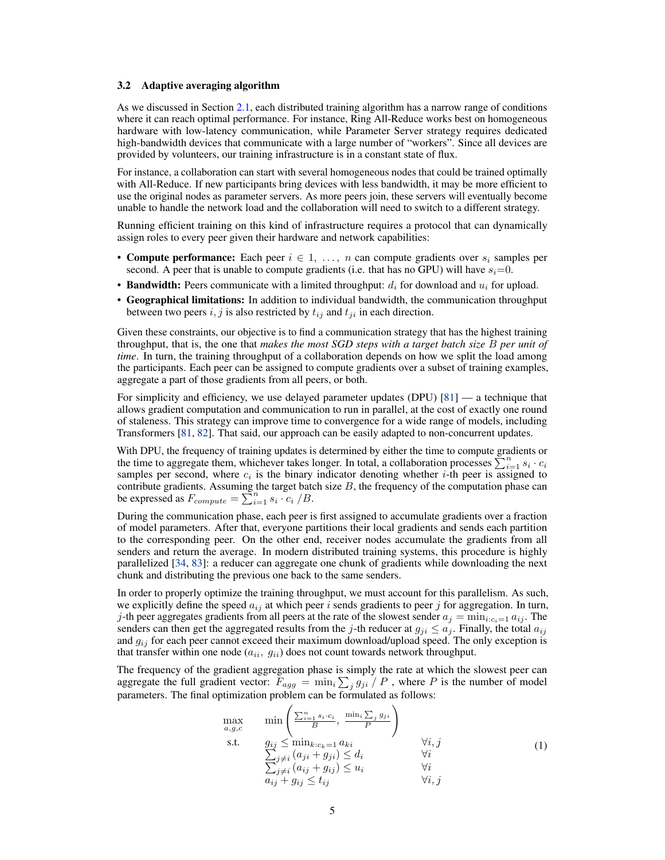#### <span id="page-4-0"></span>3.2 Adaptive averaging algorithm

As we discussed in Section [2.1,](#page-2-0) each distributed training algorithm has a narrow range of conditions where it can reach optimal performance. For instance, Ring All-Reduce works best on homogeneous hardware with low-latency communication, while Parameter Server strategy requires dedicated high-bandwidth devices that communicate with a large number of "workers". Since all devices are provided by volunteers, our training infrastructure is in a constant state of flux.

For instance, a collaboration can start with several homogeneous nodes that could be trained optimally with All-Reduce. If new participants bring devices with less bandwidth, it may be more efficient to use the original nodes as parameter servers. As more peers join, these servers will eventually become unable to handle the network load and the collaboration will need to switch to a different strategy.

Running efficient training on this kind of infrastructure requires a protocol that can dynamically assign roles to every peer given their hardware and network capabilities:

- Compute performance: Each peer  $i \in 1, \ldots, n$  can compute gradients over  $s_i$  samples per second. A peer that is unable to compute gradients (i.e. that has no GPU) will have  $s_i=0$ .
- Bandwidth: Peers communicate with a limited throughput:  $d_i$  for download and  $u_i$  for upload.
- Geographical limitations: In addition to individual bandwidth, the communication throughput between two peers i, j is also restricted by  $t_{ij}$  and  $t_{ji}$  in each direction.

Given these constraints, our objective is to find a communication strategy that has the highest training throughput, that is, the one that *makes the most SGD steps with a target batch size* B *per unit of time*. In turn, the training throughput of a collaboration depends on how we split the load among the participants. Each peer can be assigned to compute gradients over a subset of training examples, aggregate a part of those gradients from all peers, or both.

For simplicity and efficiency, we use delayed parameter updates (DPU) [\[81\]](#page-15-3) — a technique that allows gradient computation and communication to run in parallel, at the cost of exactly one round of staleness. This strategy can improve time to convergence for a wide range of models, including Transformers [\[81,](#page-15-3) [82\]](#page-15-4). That said, our approach can be easily adapted to non-concurrent updates.

With DPU, the frequency of training updates is determined by either the time to compute gradients or the time to aggregate them, whichever takes longer. In total, a collaboration processes  $\sum_{i=1}^{n} s_i \cdot c_i$ samples per second, where  $c_i$  is the binary indicator denoting whether *i*-th peer is assigned to contribute gradients. Assuming the target batch size  $B$ , the frequency of the computation phase can be expressed as  $F_{compute} = \sum_{i=1}^{n} s_i \cdot c_i / B$ .

During the communication phase, each peer is first assigned to accumulate gradients over a fraction of model parameters. After that, everyone partitions their local gradients and sends each partition to the corresponding peer. On the other end, receiver nodes accumulate the gradients from all senders and return the average. In modern distributed training systems, this procedure is highly parallelized [\[34,](#page-12-6) [83\]](#page-15-5): a reducer can aggregate one chunk of gradients while downloading the next chunk and distributing the previous one back to the same senders.

In order to properly optimize the training throughput, we must account for this parallelism. As such, we explicitly define the speed  $a_{ij}$  at which peer i sends gradients to peer j for aggregation. In turn, j-th peer aggregates gradients from all peers at the rate of the slowest sender  $a_j = \min_{i:c_i=1} a_{ij}$ . The senders can then get the aggregated results from the j-th reducer at  $g_{ji} \le a_j$ . Finally, the total  $a_{ij}$ and  $g_{ij}$  for each peer cannot exceed their maximum download/upload speed. The only exception is that transfer within one node  $(a_{ii}, g_{ii})$  does not count towards network throughput.

The frequency of the gradient aggregation phase is simply the rate at which the slowest peer can aggregate the full gradient vector:  $F_{agg} = \min_i \sum_j g_{ji} / P$ , where P is the number of model parameters. The final optimization problem can be formulated as follows:

<span id="page-4-1"></span>
$$
\begin{array}{ll}\n\max_{a,g,c} & \min\left(\frac{\sum_{i=1}^{n} s_i \cdot c_i}{B}, \frac{\min_i \sum_j g_{ji}}{P}\right) \\
\text{s.t.} & g_{ij} \leq \min_{k:c_k=1} a_{ki} & \forall i, j \\
& \sum_{j \neq i} (a_{ji} + g_{ji}) \leq d_i & \forall i \\
& \sum_{j \neq i} (a_{ij} + g_{ij}) \leq u_i & \forall i \\
& a_{ij} + g_{ij} \leq t_{ij} & \forall i, j\n\end{array} \tag{1}
$$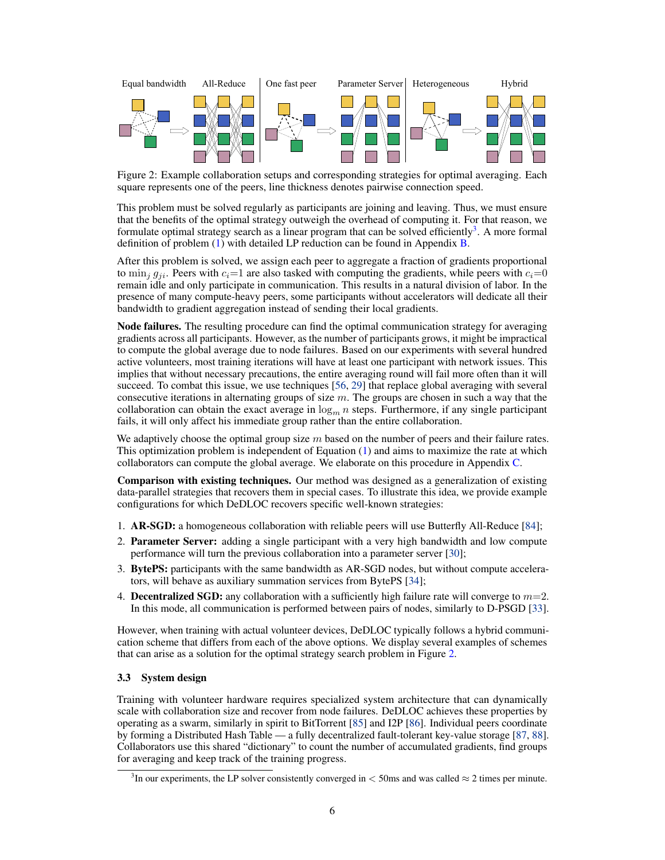<span id="page-5-2"></span>

Figure 2: Example collaboration setups and corresponding strategies for optimal averaging. Each square represents one of the peers, line thickness denotes pairwise connection speed.

This problem must be solved regularly as participants are joining and leaving. Thus, we must ensure that the benefits of the optimal strategy outweigh the overhead of computing it. For that reason, we formulate optimal strategy search as a linear program that can be solved efficiently<sup>[3](#page-5-1)</sup>. A more formal definition of problem  $(1)$  with detailed LP reduction can be found in Appendix [B.](#page-20-1)

After this problem is solved, we assign each peer to aggregate a fraction of gradients proportional to  $\min_i g_{ii}$ . Peers with  $c_i=1$  are also tasked with computing the gradients, while peers with  $c_i=0$ remain idle and only participate in communication. This results in a natural division of labor. In the presence of many compute-heavy peers, some participants without accelerators will dedicate all their bandwidth to gradient aggregation instead of sending their local gradients.

Node failures. The resulting procedure can find the optimal communication strategy for averaging gradients across all participants. However, as the number of participants grows, it might be impractical to compute the global average due to node failures. Based on our experiments with several hundred active volunteers, most training iterations will have at least one participant with network issues. This implies that without necessary precautions, the entire averaging round will fail more often than it will succeed. To combat this issue, we use techniques [\[56,](#page-13-11) [29\]](#page-12-1) that replace global averaging with several consecutive iterations in alternating groups of size  $m$ . The groups are chosen in such a way that the collaboration can obtain the exact average in  $\log_m n$  steps. Furthermore, if any single participant fails, it will only affect his immediate group rather than the entire collaboration.

We adaptively choose the optimal group size  $m$  based on the number of peers and their failure rates. This optimization problem is independent of Equation [\(1\)](#page-4-1) and aims to maximize the rate at which collaborators can compute the global average. We elaborate on this procedure in Appendix [C.](#page-21-0)

Comparison with existing techniques. Our method was designed as a generalization of existing data-parallel strategies that recovers them in special cases. To illustrate this idea, we provide example configurations for which DeDLOC recovers specific well-known strategies:

- 1. AR-SGD: a homogeneous collaboration with reliable peers will use Butterfly All-Reduce [\[84\]](#page-15-6);
- 2. Parameter Server: adding a single participant with a very high bandwidth and low compute performance will turn the previous collaboration into a parameter server [\[30\]](#page-12-2);
- 3. BytePS: participants with the same bandwidth as AR-SGD nodes, but without compute accelerators, will behave as auxiliary summation services from BytePS [\[34\]](#page-12-6);
- 4. **Decentralized SGD:** any collaboration with a sufficiently high failure rate will converge to  $m=2$ . In this mode, all communication is performed between pairs of nodes, similarly to D-PSGD [\[33\]](#page-12-5).

However, when training with actual volunteer devices, DeDLOC typically follows a hybrid communication scheme that differs from each of the above options. We display several examples of schemes that can arise as a solution for the optimal strategy search problem in Figure [2.](#page-5-2)

### <span id="page-5-0"></span>3.3 System design

Training with volunteer hardware requires specialized system architecture that can dynamically scale with collaboration size and recover from node failures. DeDLOC achieves these properties by operating as a swarm, similarly in spirit to BitTorrent [\[85\]](#page-15-7) and I2P [\[86\]](#page-15-8). Individual peers coordinate by forming a Distributed Hash Table — a fully decentralized fault-tolerant key-value storage [\[87,](#page-15-9) [88\]](#page-15-10). Collaborators use this shared "dictionary" to count the number of accumulated gradients, find groups for averaging and keep track of the training progress.

<span id="page-5-1"></span><sup>&</sup>lt;sup>3</sup>In our experiments, the LP solver consistently converged in  $<$  50ms and was called  $\approx$  2 times per minute.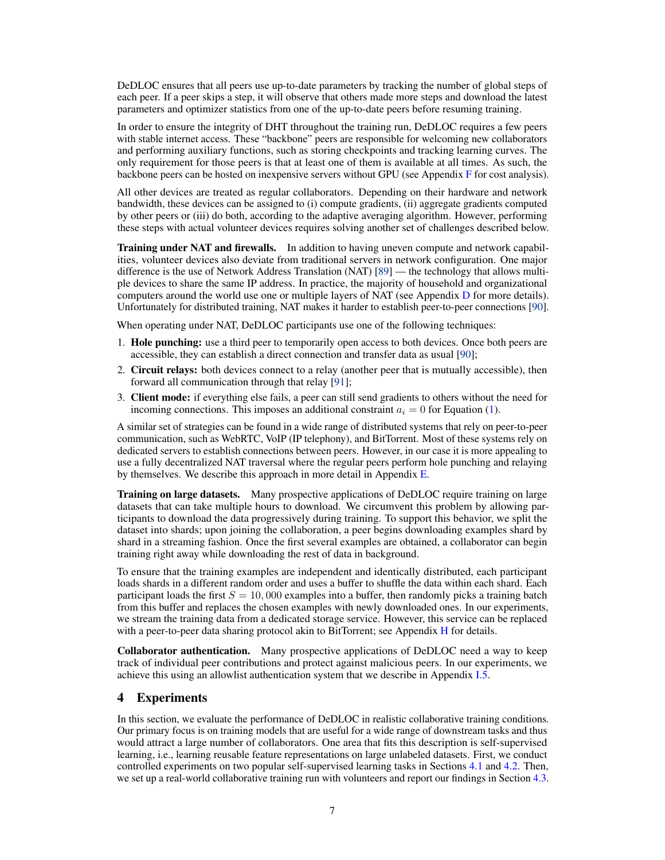DeDLOC ensures that all peers use up-to-date parameters by tracking the number of global steps of each peer. If a peer skips a step, it will observe that others made more steps and download the latest parameters and optimizer statistics from one of the up-to-date peers before resuming training.

In order to ensure the integrity of DHT throughout the training run, DeDLOC requires a few peers with stable internet access. These "backbone" peers are responsible for welcoming new collaborators and performing auxiliary functions, such as storing checkpoints and tracking learning curves. The only requirement for those peers is that at least one of them is available at all times. As such, the backbone peers can be hosted on inexpensive servers without GPU (see Appendix [F](#page-23-0) for cost analysis).

All other devices are treated as regular collaborators. Depending on their hardware and network bandwidth, these devices can be assigned to (i) compute gradients, (ii) aggregate gradients computed by other peers or (iii) do both, according to the adaptive averaging algorithm. However, performing these steps with actual volunteer devices requires solving another set of challenges described below.

Training under NAT and firewalls. In addition to having uneven compute and network capabilities, volunteer devices also deviate from traditional servers in network configuration. One major difference is the use of Network Address Translation (NAT) [\[89\]](#page-15-11) — the technology that allows multiple devices to share the same IP address. In practice, the majority of household and organizational computers around the world use one or multiple layers of NAT (see Appendix [D](#page-22-0) for more details). Unfortunately for distributed training, NAT makes it harder to establish peer-to-peer connections [\[90\]](#page-15-12).

When operating under NAT, DeDLOC participants use one of the following techniques:

- 1. Hole punching: use a third peer to temporarily open access to both devices. Once both peers are accessible, they can establish a direct connection and transfer data as usual [\[90\]](#page-15-12);
- 2. Circuit relays: both devices connect to a relay (another peer that is mutually accessible), then forward all communication through that relay [\[91\]](#page-15-13);
- 3. Client mode: if everything else fails, a peer can still send gradients to others without the need for incoming connections. This imposes an additional constraint  $a_i = 0$  for Equation [\(1\)](#page-4-1).

A similar set of strategies can be found in a wide range of distributed systems that rely on peer-to-peer communication, such as WebRTC, VoIP (IP telephony), and BitTorrent. Most of these systems rely on dedicated servers to establish connections between peers. However, in our case it is more appealing to use a fully decentralized NAT traversal where the regular peers perform hole punching and relaying by themselves. We describe this approach in more detail in Appendix  $E$ .

Training on large datasets. Many prospective applications of DeDLOC require training on large datasets that can take multiple hours to download. We circumvent this problem by allowing participants to download the data progressively during training. To support this behavior, we split the dataset into shards; upon joining the collaboration, a peer begins downloading examples shard by shard in a streaming fashion. Once the first several examples are obtained, a collaborator can begin training right away while downloading the rest of data in background.

To ensure that the training examples are independent and identically distributed, each participant loads shards in a different random order and uses a buffer to shuffle the data within each shard. Each participant loads the first  $S = 10,000$  examples into a buffer, then randomly picks a training batch from this buffer and replaces the chosen examples with newly downloaded ones. In our experiments, we stream the training data from a dedicated storage service. However, this service can be replaced with a peer-to-peer data sharing protocol akin to BitTorrent; see Appendix [H](#page-26-0) for details.

Collaborator authentication. Many prospective applications of DeDLOC need a way to keep track of individual peer contributions and protect against malicious peers. In our experiments, we achieve this using an allowlist authentication system that we describe in Appendix [I.5.](#page-28-0)

# <span id="page-6-0"></span>4 Experiments

In this section, we evaluate the performance of DeDLOC in realistic collaborative training conditions. Our primary focus is on training models that are useful for a wide range of downstream tasks and thus would attract a large number of collaborators. One area that fits this description is self-supervised learning, i.e., learning reusable feature representations on large unlabeled datasets. First, we conduct controlled experiments on two popular self-supervised learning tasks in Sections [4.1](#page-7-0) and [4.2.](#page-7-1) Then, we set up a real-world collaborative training run with volunteers and report our findings in Section [4.3.](#page-8-0)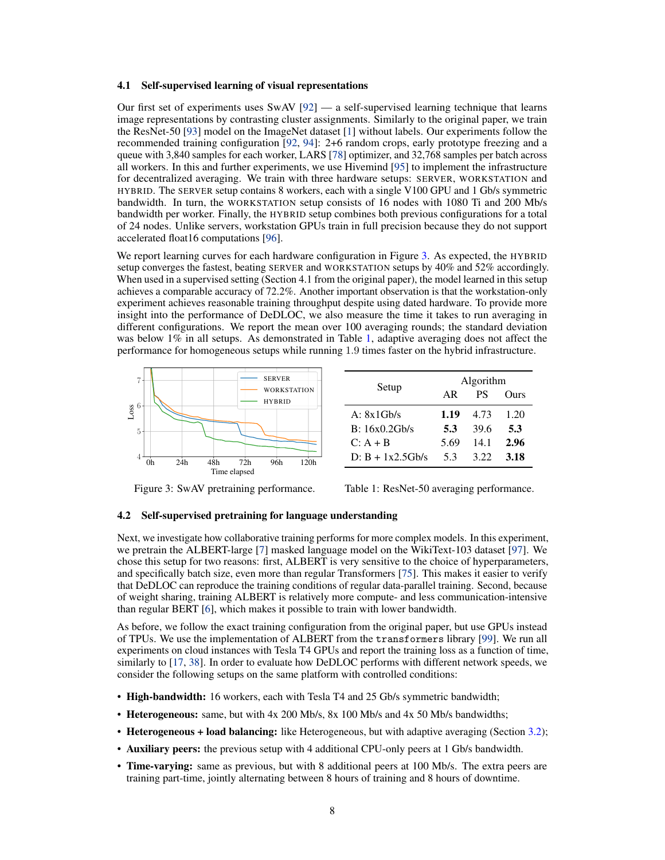#### <span id="page-7-0"></span>4.1 Self-supervised learning of visual representations

Our first set of experiments uses SwAV  $[92]$  — a self-supervised learning technique that learns image representations by contrasting cluster assignments. Similarly to the original paper, we train the ResNet-50 [\[93\]](#page-15-15) model on the ImageNet dataset [\[1\]](#page-10-0) without labels. Our experiments follow the recommended training configuration [\[92,](#page-15-14) [94\]](#page-15-16): 2+6 random crops, early prototype freezing and a queue with 3,840 samples for each worker, LARS [\[78\]](#page-15-0) optimizer, and 32,768 samples per batch across all workers. In this and further experiments, we use Hivemind [\[95\]](#page-15-17) to implement the infrastructure for decentralized averaging. We train with three hardware setups: SERVER, WORKSTATION and HYBRID. The SERVER setup contains 8 workers, each with a single V100 GPU and 1 Gb/s symmetric bandwidth. In turn, the WORKSTATION setup consists of 16 nodes with 1080 Ti and 200 Mb/s bandwidth per worker. Finally, the HYBRID setup combines both previous configurations for a total of 24 nodes. Unlike servers, workstation GPUs train in full precision because they do not support accelerated float16 computations [\[96\]](#page-15-18).

We report learning curves for each hardware configuration in Figure [3.](#page-7-2) As expected, the HYBRID setup converges the fastest, beating SERVER and WORKSTATION setups by 40% and 52% accordingly. When used in a supervised setting (Section 4.1 from the original paper), the model learned in this setup achieves a comparable accuracy of 72.2%. Another important observation is that the workstation-only experiment achieves reasonable training throughput despite using dated hardware. To provide more insight into the performance of DeDLOC, we also measure the time it takes to run averaging in different configurations. We report the mean over 100 averaging rounds; the standard deviation was below 1% in all setups. As demonstrated in Table [1,](#page-7-3) adaptive averaging does not affect the performance for homogeneous setups while running 1.9 times faster on the hybrid infrastructure.



Setup Algorithm<br>AR PS ( Ours A: 8x1Gb/s 1.19 4.73 1.20 B: 16x0.2Gb/s 5.3 39.6 5.3  $C: A + B$  5.69 14.1 2.96 D:  $B + 1x2.5Gb/s$  5.3 3.22 3.18

<span id="page-7-2"></span>Figure 3: SwAV pretraining performance.

<span id="page-7-3"></span>Table 1: ResNet-50 averaging performance.

#### <span id="page-7-1"></span>4.2 Self-supervised pretraining for language understanding

Next, we investigate how collaborative training performs for more complex models. In this experiment, we pretrain the ALBERT-large [\[7\]](#page-10-6) masked language model on the WikiText-103 dataset [\[97\]](#page-16-0). We chose this setup for two reasons: first, ALBERT is very sensitive to the choice of hyperparameters, and specifically batch size, even more than regular Transformers [\[75\]](#page-14-12). This makes it easier to verify that DeDLOC can reproduce the training conditions of regular data-parallel training. Second, because of weight sharing, training ALBERT is relatively more compute- and less communication-intensive than regular BERT [\[6\]](#page-10-5), which makes it possible to train with lower bandwidth.

As before, we follow the exact training configuration from the original paper, but use GPUs instead of TPUs. We use the implementation of ALBERT from the transformers library [\[99\]](#page-16-1). We run all experiments on cloud instances with Tesla T4 GPUs and report the training loss as a function of time, similarly to [\[17,](#page-11-8) [38\]](#page-12-10). In order to evaluate how DeDLOC performs with different network speeds, we consider the following setups on the same platform with controlled conditions:

- High-bandwidth: 16 workers, each with Tesla T4 and 25 Gb/s symmetric bandwidth;
- Heterogeneous: same, but with 4x 200 Mb/s, 8x 100 Mb/s and 4x 50 Mb/s bandwidths;
- Heterogeneous + load balancing: like Heterogeneous, but with adaptive averaging (Section [3.2\)](#page-4-0);
- Auxiliary peers: the previous setup with 4 additional CPU-only peers at 1 Gb/s bandwidth.
- Time-varying: same as previous, but with 8 additional peers at 100 Mb/s. The extra peers are training part-time, jointly alternating between 8 hours of training and 8 hours of downtime.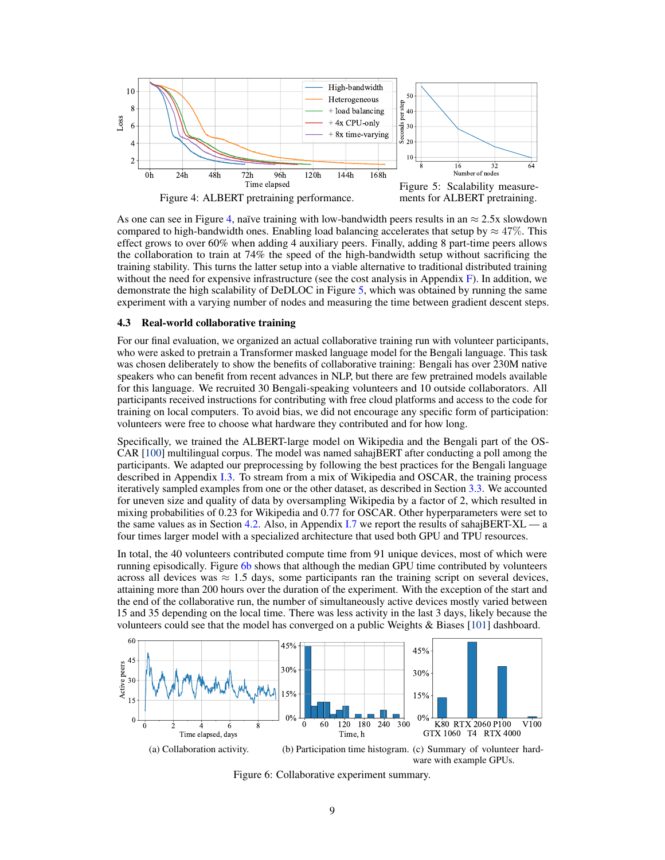

<span id="page-8-2"></span><span id="page-8-1"></span>As one can see in Figure [4,](#page-8-1) naïve training with low-bandwidth peers results in an  $\approx 2.5x$  slowdown compared to high-bandwidth ones. Enabling load balancing accelerates that setup by  $\approx 47\%$ . This effect grows to over 60% when adding 4 auxiliary peers. Finally, adding 8 part-time peers allows the collaboration to train at 74% the speed of the high-bandwidth setup without sacrificing the training stability. This turns the latter setup into a viable alternative to traditional distributed training without the need for expensive infrastructure (see the cost analysis in Appendix [F\)](#page-23-0). In addition, we demonstrate the high scalability of DeDLOC in Figure [5,](#page-8-2) which was obtained by running the same experiment with a varying number of nodes and measuring the time between gradient descent steps.

#### <span id="page-8-0"></span>4.3 Real-world collaborative training

For our final evaluation, we organized an actual collaborative training run with volunteer participants, who were asked to pretrain a Transformer masked language model for the Bengali language. This task was chosen deliberately to show the benefits of collaborative training: Bengali has over 230M native speakers who can benefit from recent advances in NLP, but there are few pretrained models available for this language. We recruited 30 Bengali-speaking volunteers and 10 outside collaborators. All participants received instructions for contributing with free cloud platforms and access to the code for training on local computers. To avoid bias, we did not encourage any specific form of participation: volunteers were free to choose what hardware they contributed and for how long.

Specifically, we trained the ALBERT-large model on Wikipedia and the Bengali part of the OS-CAR [\[100\]](#page-16-2) multilingual corpus. The model was named sahajBERT after conducting a poll among the participants. We adapted our preprocessing by following the best practices for the Bengali language described in Appendix [I.3.](#page-27-0) To stream from a mix of Wikipedia and OSCAR, the training process iteratively sampled examples from one or the other dataset, as described in Section [3.3.](#page-5-0) We accounted for uneven size and quality of data by oversampling Wikipedia by a factor of 2, which resulted in mixing probabilities of 0.23 for Wikipedia and 0.77 for OSCAR. Other hyperparameters were set to the same values as in Section [4.2.](#page-7-1) Also, in Appendix [I.7](#page-30-0) we report the results of sahajBERT- $XL - a$ four times larger model with a specialized architecture that used both GPU and TPU resources.

In total, the 40 volunteers contributed compute time from 91 unique devices, most of which were running episodically. Figure [6b](#page-8-3) shows that although the median GPU time contributed by volunteers across all devices was  $\approx 1.5$  days, some participants ran the training script on several devices, attaining more than 200 hours over the duration of the experiment. With the exception of the start and the end of the collaborative run, the number of simultaneously active devices mostly varied between 15 and 35 depending on the local time. There was less activity in the last 3 days, likely because the volunteers could see that the model has converged on a public Weights & Biases [\[101\]](#page-16-3) dashboard.

<span id="page-8-3"></span>

Figure 6: Collaborative experiment summary.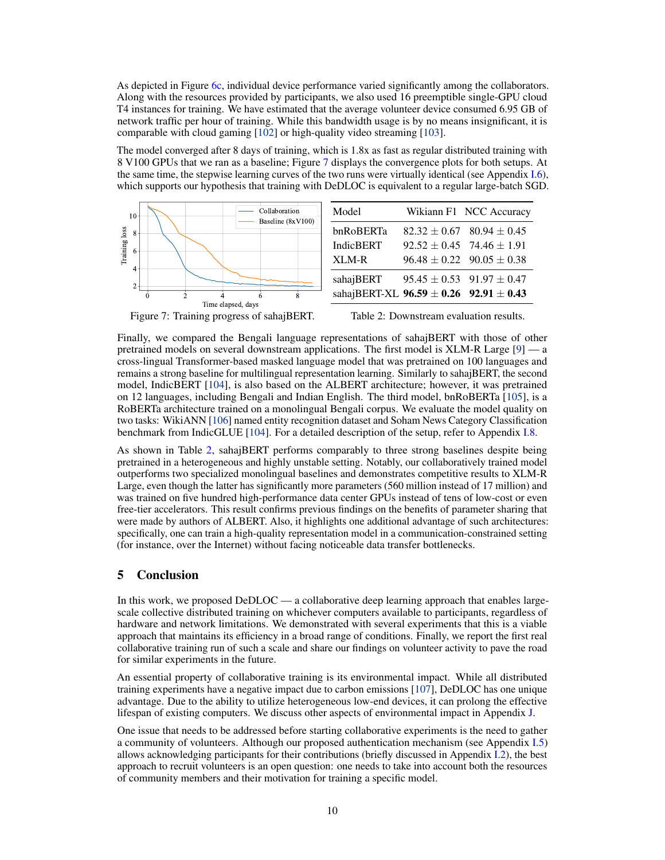As depicted in Figure [6c,](#page-8-3) individual device performance varied significantly among the collaborators. Along with the resources provided by participants, we also used 16 preemptible single-GPU cloud T4 instances for training. We have estimated that the average volunteer device consumed 6.95 GB of network traffic per hour of training. While this bandwidth usage is by no means insignificant, it is comparable with cloud gaming [\[102\]](#page-16-4) or high-quality video streaming [\[103\]](#page-16-5).

The model converged after 8 days of training, which is 1.8x as fast as regular distributed training with 8 V100 GPUs that we ran as a baseline; Figure [7](#page-9-0) displays the convergence plots for both setups. At the same time, the stepwise learning curves of the two runs were virtually identical (see Appendix [I.6\)](#page-30-1), which supports our hypothesis that training with DeDLOC is equivalent to a regular large-batch SGD.



<span id="page-9-0"></span>Figure 7: Training progress of sahajBERT.

<span id="page-9-1"></span>

Finally, we compared the Bengali language representations of sahajBERT with those of other pretrained models on several downstream applications. The first model is XLM-R Large [\[9\]](#page-11-0) — a cross-lingual Transformer-based masked language model that was pretrained on 100 languages and remains a strong baseline for multilingual representation learning. Similarly to sahajBERT, the second model, IndicBERT [\[104\]](#page-16-6), is also based on the ALBERT architecture; however, it was pretrained on 12 languages, including Bengali and Indian English. The third model, bnRoBERTa [\[105\]](#page-16-7), is a RoBERTa architecture trained on a monolingual Bengali corpus. We evaluate the model quality on two tasks: WikiANN [\[106\]](#page-16-8) named entity recognition dataset and Soham News Category Classification benchmark from IndicGLUE [\[104\]](#page-16-6). For a detailed description of the setup, refer to Appendix [I.8.](#page-31-0)

As shown in Table [2,](#page-9-1) sahajBERT performs comparably to three strong baselines despite being pretrained in a heterogeneous and highly unstable setting. Notably, our collaboratively trained model outperforms two specialized monolingual baselines and demonstrates competitive results to XLM-R Large, even though the latter has significantly more parameters (560 million instead of 17 million) and was trained on five hundred high-performance data center GPUs instead of tens of low-cost or even free-tier accelerators. This result confirms previous findings on the benefits of parameter sharing that were made by authors of ALBERT. Also, it highlights one additional advantage of such architectures: specifically, one can train a high-quality representation model in a communication-constrained setting (for instance, over the Internet) without facing noticeable data transfer bottlenecks.

### 5 Conclusion

In this work, we proposed DeDLOC — a collaborative deep learning approach that enables largescale collective distributed training on whichever computers available to participants, regardless of hardware and network limitations. We demonstrated with several experiments that this is a viable approach that maintains its efficiency in a broad range of conditions. Finally, we report the first real collaborative training run of such a scale and share our findings on volunteer activity to pave the road for similar experiments in the future.

An essential property of collaborative training is its environmental impact. While all distributed training experiments have a negative impact due to carbon emissions [\[107\]](#page-16-9), DeDLOC has one unique advantage. Due to the ability to utilize heterogeneous low-end devices, it can prolong the effective lifespan of existing computers. We discuss other aspects of environmental impact in Appendix [J.](#page-31-1)

One issue that needs to be addressed before starting collaborative experiments is the need to gather a community of volunteers. Although our proposed authentication mechanism (see Appendix [I.5\)](#page-28-0) allows acknowledging participants for their contributions (briefly discussed in Appendix [I.2\)](#page-26-1), the best approach to recruit volunteers is an open question: one needs to take into account both the resources of community members and their motivation for training a specific model.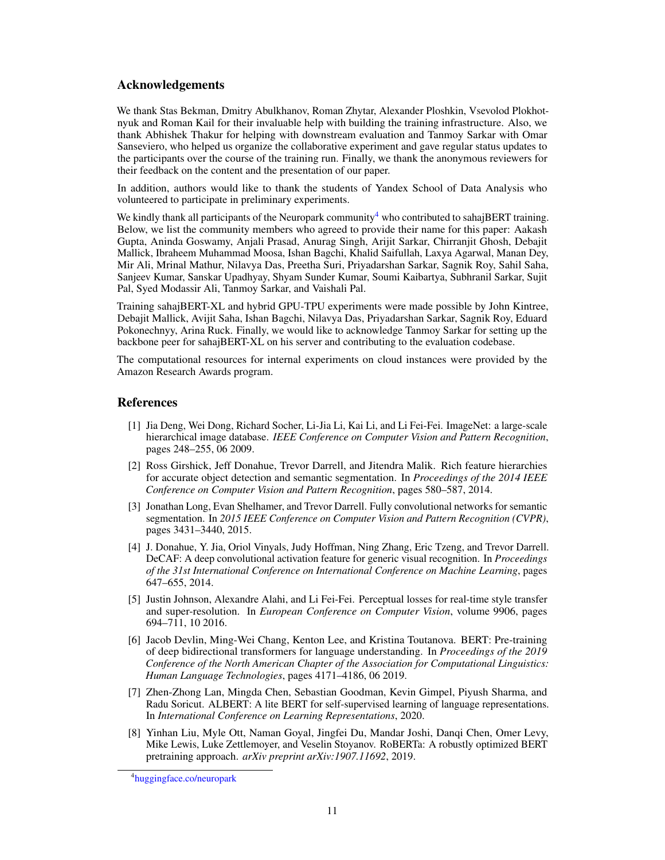### Acknowledgements

We thank Stas Bekman, Dmitry Abulkhanov, Roman Zhytar, Alexander Ploshkin, Vsevolod Plokhotnyuk and Roman Kail for their invaluable help with building the training infrastructure. Also, we thank Abhishek Thakur for helping with downstream evaluation and Tanmoy Sarkar with Omar Sanseviero, who helped us organize the collaborative experiment and gave regular status updates to the participants over the course of the training run. Finally, we thank the anonymous reviewers for their feedback on the content and the presentation of our paper.

In addition, authors would like to thank the students of Yandex School of Data Analysis who volunteered to participate in preliminary experiments.

We kindly thank all participants of the Neuropark community<sup>[4](#page-10-8)</sup> who contributed to sahajBERT training. Below, we list the community members who agreed to provide their name for this paper: Aakash Gupta, Aninda Goswamy, Anjali Prasad, Anurag Singh, Arijit Sarkar, Chirranjit Ghosh, Debajit Mallick, Ibraheem Muhammad Moosa, Ishan Bagchi, Khalid Saifullah, Laxya Agarwal, Manan Dey, Mir Ali, Mrinal Mathur, Nilavya Das, Preetha Suri, Priyadarshan Sarkar, Sagnik Roy, Sahil Saha, Sanjeev Kumar, Sanskar Upadhyay, Shyam Sunder Kumar, Soumi Kaibartya, Subhranil Sarkar, Sujit Pal, Syed Modassir Ali, Tanmoy Sarkar, and Vaishali Pal.

Training sahajBERT-XL and hybrid GPU-TPU experiments were made possible by John Kintree, Debajit Mallick, Avijit Saha, Ishan Bagchi, Nilavya Das, Priyadarshan Sarkar, Sagnik Roy, Eduard Pokonechnyy, Arina Ruck. Finally, we would like to acknowledge Tanmoy Sarkar for setting up the backbone peer for sahajBERT-XL on his server and contributing to the evaluation codebase.

The computational resources for internal experiments on cloud instances were provided by the Amazon Research Awards program.

### References

- <span id="page-10-0"></span>[1] Jia Deng, Wei Dong, Richard Socher, Li-Jia Li, Kai Li, and Li Fei-Fei. ImageNet: a large-scale hierarchical image database. *IEEE Conference on Computer Vision and Pattern Recognition*, pages 248–255, 06 2009.
- <span id="page-10-1"></span>[2] Ross Girshick, Jeff Donahue, Trevor Darrell, and Jitendra Malik. Rich feature hierarchies for accurate object detection and semantic segmentation. In *Proceedings of the 2014 IEEE Conference on Computer Vision and Pattern Recognition*, pages 580–587, 2014.
- <span id="page-10-2"></span>[3] Jonathan Long, Evan Shelhamer, and Trevor Darrell. Fully convolutional networks for semantic segmentation. In *2015 IEEE Conference on Computer Vision and Pattern Recognition (CVPR)*, pages 3431–3440, 2015.
- <span id="page-10-3"></span>[4] J. Donahue, Y. Jia, Oriol Vinyals, Judy Hoffman, Ning Zhang, Eric Tzeng, and Trevor Darrell. DeCAF: A deep convolutional activation feature for generic visual recognition. In *Proceedings of the 31st International Conference on International Conference on Machine Learning*, pages 647–655, 2014.
- <span id="page-10-4"></span>[5] Justin Johnson, Alexandre Alahi, and Li Fei-Fei. Perceptual losses for real-time style transfer and super-resolution. In *European Conference on Computer Vision*, volume 9906, pages 694–711, 10 2016.
- <span id="page-10-5"></span>[6] Jacob Devlin, Ming-Wei Chang, Kenton Lee, and Kristina Toutanova. BERT: Pre-training of deep bidirectional transformers for language understanding. In *Proceedings of the 2019 Conference of the North American Chapter of the Association for Computational Linguistics: Human Language Technologies*, pages 4171–4186, 06 2019.
- <span id="page-10-6"></span>[7] Zhen-Zhong Lan, Mingda Chen, Sebastian Goodman, Kevin Gimpel, Piyush Sharma, and Radu Soricut. ALBERT: A lite BERT for self-supervised learning of language representations. In *International Conference on Learning Representations*, 2020.
- <span id="page-10-7"></span>[8] Yinhan Liu, Myle Ott, Naman Goyal, Jingfei Du, Mandar Joshi, Danqi Chen, Omer Levy, Mike Lewis, Luke Zettlemoyer, and Veselin Stoyanov. RoBERTa: A robustly optimized BERT pretraining approach. *arXiv preprint arXiv:1907.11692*, 2019.

<span id="page-10-8"></span><sup>4</sup> [huggingface.co/neuropark](https://huggingface.co/neuropark)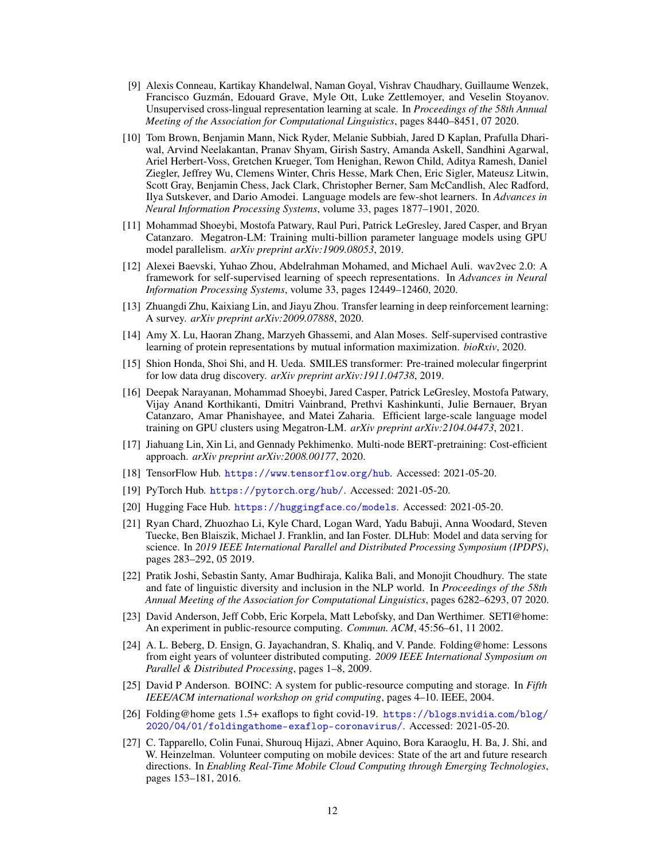- <span id="page-11-0"></span>[9] Alexis Conneau, Kartikay Khandelwal, Naman Goyal, Vishrav Chaudhary, Guillaume Wenzek, Francisco Guzmán, Edouard Grave, Myle Ott, Luke Zettlemoyer, and Veselin Stoyanov. Unsupervised cross-lingual representation learning at scale. In *Proceedings of the 58th Annual Meeting of the Association for Computational Linguistics*, pages 8440–8451, 07 2020.
- <span id="page-11-1"></span>[10] Tom Brown, Benjamin Mann, Nick Ryder, Melanie Subbiah, Jared D Kaplan, Prafulla Dhariwal, Arvind Neelakantan, Pranav Shyam, Girish Sastry, Amanda Askell, Sandhini Agarwal, Ariel Herbert-Voss, Gretchen Krueger, Tom Henighan, Rewon Child, Aditya Ramesh, Daniel Ziegler, Jeffrey Wu, Clemens Winter, Chris Hesse, Mark Chen, Eric Sigler, Mateusz Litwin, Scott Gray, Benjamin Chess, Jack Clark, Christopher Berner, Sam McCandlish, Alec Radford, Ilya Sutskever, and Dario Amodei. Language models are few-shot learners. In *Advances in Neural Information Processing Systems*, volume 33, pages 1877–1901, 2020.
- <span id="page-11-2"></span>[11] Mohammad Shoeybi, Mostofa Patwary, Raul Puri, Patrick LeGresley, Jared Casper, and Bryan Catanzaro. Megatron-LM: Training multi-billion parameter language models using GPU model parallelism. *arXiv preprint arXiv:1909.08053*, 2019.
- <span id="page-11-3"></span>[12] Alexei Baevski, Yuhao Zhou, Abdelrahman Mohamed, and Michael Auli. wav2vec 2.0: A framework for self-supervised learning of speech representations. In *Advances in Neural Information Processing Systems*, volume 33, pages 12449–12460, 2020.
- <span id="page-11-4"></span>[13] Zhuangdi Zhu, Kaixiang Lin, and Jiayu Zhou. Transfer learning in deep reinforcement learning: A survey. *arXiv preprint arXiv:2009.07888*, 2020.
- <span id="page-11-5"></span>[14] Amy X. Lu, Haoran Zhang, Marzyeh Ghassemi, and Alan Moses. Self-supervised contrastive learning of protein representations by mutual information maximization. *bioRxiv*, 2020.
- <span id="page-11-6"></span>[15] Shion Honda, Shoi Shi, and H. Ueda. SMILES transformer: Pre-trained molecular fingerprint for low data drug discovery. *arXiv preprint arXiv:1911.04738*, 2019.
- <span id="page-11-7"></span>[16] Deepak Narayanan, Mohammad Shoeybi, Jared Casper, Patrick LeGresley, Mostofa Patwary, Vijay Anand Korthikanti, Dmitri Vainbrand, Prethvi Kashinkunti, Julie Bernauer, Bryan Catanzaro, Amar Phanishayee, and Matei Zaharia. Efficient large-scale language model training on GPU clusters using Megatron-LM. *arXiv preprint arXiv:2104.04473*, 2021.
- <span id="page-11-8"></span>[17] Jiahuang Lin, Xin Li, and Gennady Pekhimenko. Multi-node BERT-pretraining: Cost-efficient approach. *arXiv preprint arXiv:2008.00177*, 2020.
- <span id="page-11-9"></span>[18] TensorFlow Hub. [https://www](https://www.tensorflow.org/hub).tensorflow.org/hub. Accessed: 2021-05-20.
- <span id="page-11-10"></span>[19] PyTorch Hub. [https://pytorch](https://pytorch.org/hub/).org/hub/. Accessed: 2021-05-20.
- <span id="page-11-11"></span>[20] Hugging Face Hub. [https://huggingface](https://huggingface.co/models).co/models. Accessed: 2021-05-20.
- <span id="page-11-12"></span>[21] Ryan Chard, Zhuozhao Li, Kyle Chard, Logan Ward, Yadu Babuji, Anna Woodard, Steven Tuecke, Ben Blaiszik, Michael J. Franklin, and Ian Foster. DLHub: Model and data serving for science. In *2019 IEEE International Parallel and Distributed Processing Symposium (IPDPS)*, pages 283–292, 05 2019.
- <span id="page-11-13"></span>[22] Pratik Joshi, Sebastin Santy, Amar Budhiraja, Kalika Bali, and Monojit Choudhury. The state and fate of linguistic diversity and inclusion in the NLP world. In *Proceedings of the 58th Annual Meeting of the Association for Computational Linguistics*, pages 6282–6293, 07 2020.
- <span id="page-11-14"></span>[23] David Anderson, Jeff Cobb, Eric Korpela, Matt Lebofsky, and Dan Werthimer. SETI@home: An experiment in public-resource computing. *Commun. ACM*, 45:56–61, 11 2002.
- <span id="page-11-15"></span>[24] A. L. Beberg, D. Ensign, G. Jayachandran, S. Khaliq, and V. Pande. Folding@home: Lessons from eight years of volunteer distributed computing. *2009 IEEE International Symposium on Parallel & Distributed Processing*, pages 1–8, 2009.
- <span id="page-11-16"></span>[25] David P Anderson. BOINC: A system for public-resource computing and storage. In *Fifth IEEE/ACM international workshop on grid computing*, pages 4–10. IEEE, 2004.
- <span id="page-11-17"></span>[26] Folding@home gets 1.5+ exaflops to fight covid-19. [https://blogs](https://blogs.nvidia.com/blog/2020/04/01/foldingathome-exaflop-coronavirus/).nvidia.com/blog/ [2020/04/01/foldingathome-exaflop-coronavirus/](https://blogs.nvidia.com/blog/2020/04/01/foldingathome-exaflop-coronavirus/). Accessed: 2021-05-20.
- <span id="page-11-18"></span>[27] C. Tapparello, Colin Funai, Shurouq Hijazi, Abner Aquino, Bora Karaoglu, H. Ba, J. Shi, and W. Heinzelman. Volunteer computing on mobile devices: State of the art and future research directions. In *Enabling Real-Time Mobile Cloud Computing through Emerging Technologies*, pages 153–181, 2016.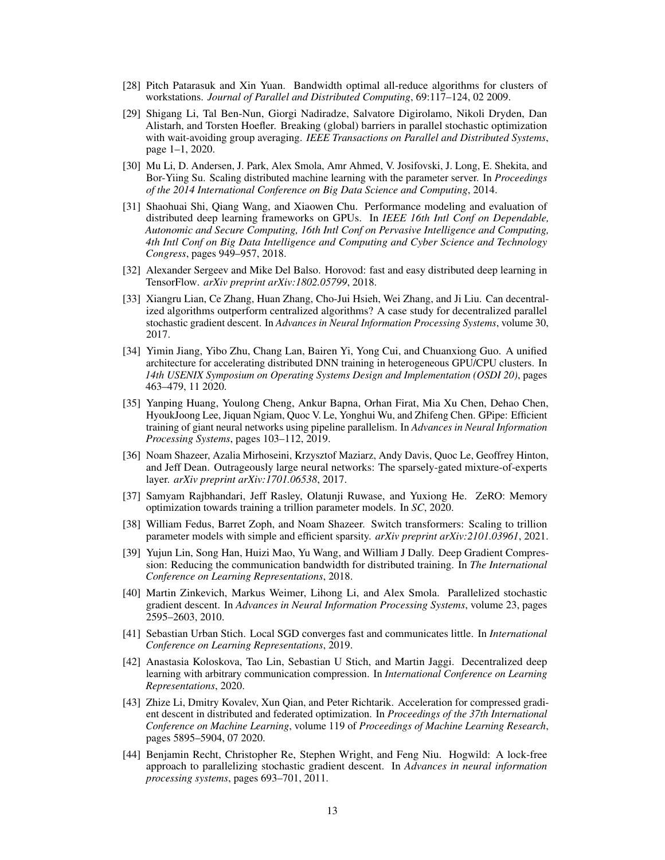- <span id="page-12-0"></span>[28] Pitch Patarasuk and Xin Yuan. Bandwidth optimal all-reduce algorithms for clusters of workstations. *Journal of Parallel and Distributed Computing*, 69:117–124, 02 2009.
- <span id="page-12-1"></span>[29] Shigang Li, Tal Ben-Nun, Giorgi Nadiradze, Salvatore Digirolamo, Nikoli Dryden, Dan Alistarh, and Torsten Hoefler. Breaking (global) barriers in parallel stochastic optimization with wait-avoiding group averaging. *IEEE Transactions on Parallel and Distributed Systems*, page 1–1, 2020.
- <span id="page-12-2"></span>[30] Mu Li, D. Andersen, J. Park, Alex Smola, Amr Ahmed, V. Josifovski, J. Long, E. Shekita, and Bor-Yiing Su. Scaling distributed machine learning with the parameter server. In *Proceedings of the 2014 International Conference on Big Data Science and Computing*, 2014.
- <span id="page-12-3"></span>[31] Shaohuai Shi, Qiang Wang, and Xiaowen Chu. Performance modeling and evaluation of distributed deep learning frameworks on GPUs. In *IEEE 16th Intl Conf on Dependable, Autonomic and Secure Computing, 16th Intl Conf on Pervasive Intelligence and Computing, 4th Intl Conf on Big Data Intelligence and Computing and Cyber Science and Technology Congress*, pages 949–957, 2018.
- <span id="page-12-4"></span>[32] Alexander Sergeev and Mike Del Balso. Horovod: fast and easy distributed deep learning in TensorFlow. *arXiv preprint arXiv:1802.05799*, 2018.
- <span id="page-12-5"></span>[33] Xiangru Lian, Ce Zhang, Huan Zhang, Cho-Jui Hsieh, Wei Zhang, and Ji Liu. Can decentralized algorithms outperform centralized algorithms? A case study for decentralized parallel stochastic gradient descent. In *Advances in Neural Information Processing Systems*, volume 30, 2017.
- <span id="page-12-6"></span>[34] Yimin Jiang, Yibo Zhu, Chang Lan, Bairen Yi, Yong Cui, and Chuanxiong Guo. A unified architecture for accelerating distributed DNN training in heterogeneous GPU/CPU clusters. In *14th USENIX Symposium on Operating Systems Design and Implementation (OSDI 20)*, pages 463–479, 11 2020.
- <span id="page-12-7"></span>[35] Yanping Huang, Youlong Cheng, Ankur Bapna, Orhan Firat, Mia Xu Chen, Dehao Chen, HyoukJoong Lee, Jiquan Ngiam, Quoc V. Le, Yonghui Wu, and Zhifeng Chen. GPipe: Efficient training of giant neural networks using pipeline parallelism. In *Advances in Neural Information Processing Systems*, pages 103–112, 2019.
- <span id="page-12-8"></span>[36] Noam Shazeer, Azalia Mirhoseini, Krzysztof Maziarz, Andy Davis, Quoc Le, Geoffrey Hinton, and Jeff Dean. Outrageously large neural networks: The sparsely-gated mixture-of-experts layer. *arXiv preprint arXiv:1701.06538*, 2017.
- <span id="page-12-9"></span>[37] Samyam Rajbhandari, Jeff Rasley, Olatunji Ruwase, and Yuxiong He. ZeRO: Memory optimization towards training a trillion parameter models. In *SC*, 2020.
- <span id="page-12-10"></span>[38] William Fedus, Barret Zoph, and Noam Shazeer. Switch transformers: Scaling to trillion parameter models with simple and efficient sparsity. *arXiv preprint arXiv:2101.03961*, 2021.
- <span id="page-12-11"></span>[39] Yujun Lin, Song Han, Huizi Mao, Yu Wang, and William J Dally. Deep Gradient Compression: Reducing the communication bandwidth for distributed training. In *The International Conference on Learning Representations*, 2018.
- <span id="page-12-12"></span>[40] Martin Zinkevich, Markus Weimer, Lihong Li, and Alex Smola. Parallelized stochastic gradient descent. In *Advances in Neural Information Processing Systems*, volume 23, pages 2595–2603, 2010.
- <span id="page-12-13"></span>[41] Sebastian Urban Stich. Local SGD converges fast and communicates little. In *International Conference on Learning Representations*, 2019.
- <span id="page-12-14"></span>[42] Anastasia Koloskova, Tao Lin, Sebastian U Stich, and Martin Jaggi. Decentralized deep learning with arbitrary communication compression. In *International Conference on Learning Representations*, 2020.
- <span id="page-12-15"></span>[43] Zhize Li, Dmitry Kovalev, Xun Qian, and Peter Richtarik. Acceleration for compressed gradient descent in distributed and federated optimization. In *Proceedings of the 37th International Conference on Machine Learning*, volume 119 of *Proceedings of Machine Learning Research*, pages 5895–5904, 07 2020.
- <span id="page-12-16"></span>[44] Benjamin Recht, Christopher Re, Stephen Wright, and Feng Niu. Hogwild: A lock-free approach to parallelizing stochastic gradient descent. In *Advances in neural information processing systems*, pages 693–701, 2011.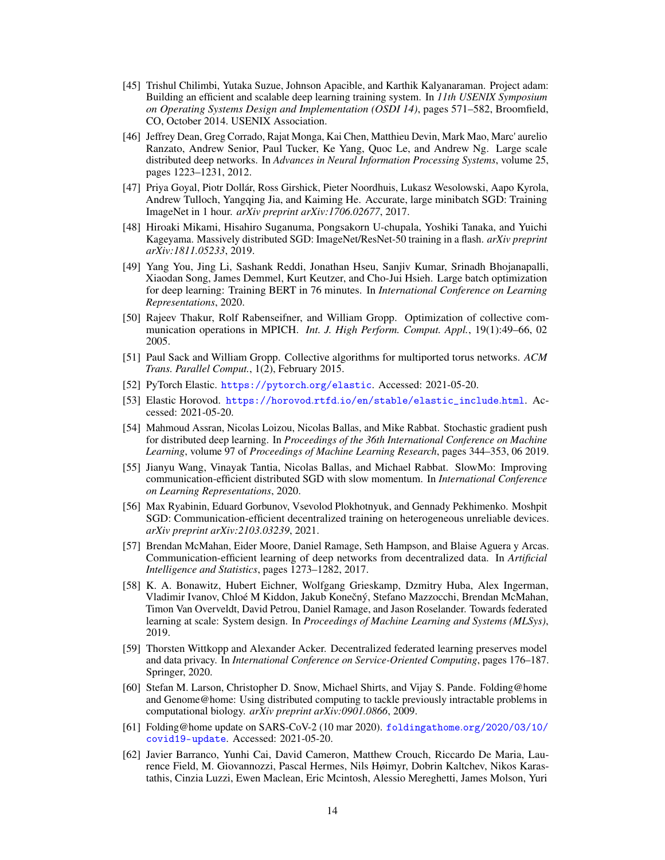- <span id="page-13-0"></span>[45] Trishul Chilimbi, Yutaka Suzue, Johnson Apacible, and Karthik Kalyanaraman. Project adam: Building an efficient and scalable deep learning training system. In *11th USENIX Symposium on Operating Systems Design and Implementation (OSDI 14)*, pages 571–582, Broomfield, CO, October 2014. USENIX Association.
- <span id="page-13-1"></span>[46] Jeffrey Dean, Greg Corrado, Rajat Monga, Kai Chen, Matthieu Devin, Mark Mao, Marc' aurelio Ranzato, Andrew Senior, Paul Tucker, Ke Yang, Quoc Le, and Andrew Ng. Large scale distributed deep networks. In *Advances in Neural Information Processing Systems*, volume 25, pages 1223–1231, 2012.
- <span id="page-13-2"></span>[47] Priya Goyal, Piotr Dollár, Ross Girshick, Pieter Noordhuis, Lukasz Wesolowski, Aapo Kyrola, Andrew Tulloch, Yangqing Jia, and Kaiming He. Accurate, large minibatch SGD: Training ImageNet in 1 hour. *arXiv preprint arXiv:1706.02677*, 2017.
- <span id="page-13-3"></span>[48] Hiroaki Mikami, Hisahiro Suganuma, Pongsakorn U-chupala, Yoshiki Tanaka, and Yuichi Kageyama. Massively distributed SGD: ImageNet/ResNet-50 training in a flash. *arXiv preprint arXiv:1811.05233*, 2019.
- <span id="page-13-4"></span>[49] Yang You, Jing Li, Sashank Reddi, Jonathan Hseu, Sanjiv Kumar, Srinadh Bhojanapalli, Xiaodan Song, James Demmel, Kurt Keutzer, and Cho-Jui Hsieh. Large batch optimization for deep learning: Training BERT in 76 minutes. In *International Conference on Learning Representations*, 2020.
- <span id="page-13-5"></span>[50] Rajeev Thakur, Rolf Rabenseifner, and William Gropp. Optimization of collective communication operations in MPICH. *Int. J. High Perform. Comput. Appl.*, 19(1):49–66, 02 2005.
- <span id="page-13-6"></span>[51] Paul Sack and William Gropp. Collective algorithms for multiported torus networks. *ACM Trans. Parallel Comput.*, 1(2), February 2015.
- <span id="page-13-7"></span>[52] PyTorch Elastic. [https://pytorch](https://pytorch.org/elastic).org/elastic. Accessed: 2021-05-20.
- <span id="page-13-8"></span>[53] Elastic Horovod. https://horovod.rtfd.[io/en/stable/elastic\\_include]( https://horovod.rtfd.io/en/stable/elastic_include.html).html. Accessed: 2021-05-20.
- <span id="page-13-9"></span>[54] Mahmoud Assran, Nicolas Loizou, Nicolas Ballas, and Mike Rabbat. Stochastic gradient push for distributed deep learning. In *Proceedings of the 36th International Conference on Machine Learning*, volume 97 of *Proceedings of Machine Learning Research*, pages 344–353, 06 2019.
- <span id="page-13-10"></span>[55] Jianyu Wang, Vinayak Tantia, Nicolas Ballas, and Michael Rabbat. SlowMo: Improving communication-efficient distributed SGD with slow momentum. In *International Conference on Learning Representations*, 2020.
- <span id="page-13-11"></span>[56] Max Ryabinin, Eduard Gorbunov, Vsevolod Plokhotnyuk, and Gennady Pekhimenko. Moshpit SGD: Communication-efficient decentralized training on heterogeneous unreliable devices. *arXiv preprint arXiv:2103.03239*, 2021.
- <span id="page-13-12"></span>[57] Brendan McMahan, Eider Moore, Daniel Ramage, Seth Hampson, and Blaise Aguera y Arcas. Communication-efficient learning of deep networks from decentralized data. In *Artificial Intelligence and Statistics*, pages 1273–1282, 2017.
- <span id="page-13-13"></span>[58] K. A. Bonawitz, Hubert Eichner, Wolfgang Grieskamp, Dzmitry Huba, Alex Ingerman, Vladimir Ivanov, Chloé M Kiddon, Jakub Konečný, Stefano Mazzocchi, Brendan McMahan, Timon Van Overveldt, David Petrou, Daniel Ramage, and Jason Roselander. Towards federated learning at scale: System design. In *Proceedings of Machine Learning and Systems (MLSys)*, 2019.
- <span id="page-13-14"></span>[59] Thorsten Wittkopp and Alexander Acker. Decentralized federated learning preserves model and data privacy. In *International Conference on Service-Oriented Computing*, pages 176–187. Springer, 2020.
- <span id="page-13-15"></span>[60] Stefan M. Larson, Christopher D. Snow, Michael Shirts, and Vijay S. Pande. Folding@home and Genome@home: Using distributed computing to tackle previously intractable problems in computational biology. *arXiv preprint arXiv:0901.0866*, 2009.
- <span id="page-13-16"></span>[61] Folding@home update on SARS-CoV-2 (10 mar 2020). foldingathome.[org/2020/03/10/](foldingathome.org/2020/03/10/covid19-update) [covid19-update](foldingathome.org/2020/03/10/covid19-update). Accessed: 2021-05-20.
- <span id="page-13-17"></span>[62] Javier Barranco, Yunhi Cai, David Cameron, Matthew Crouch, Riccardo De Maria, Laurence Field, M. Giovannozzi, Pascal Hermes, Nils Høimyr, Dobrin Kaltchev, Nikos Karastathis, Cinzia Luzzi, Ewen Maclean, Eric Mcintosh, Alessio Mereghetti, James Molson, Yuri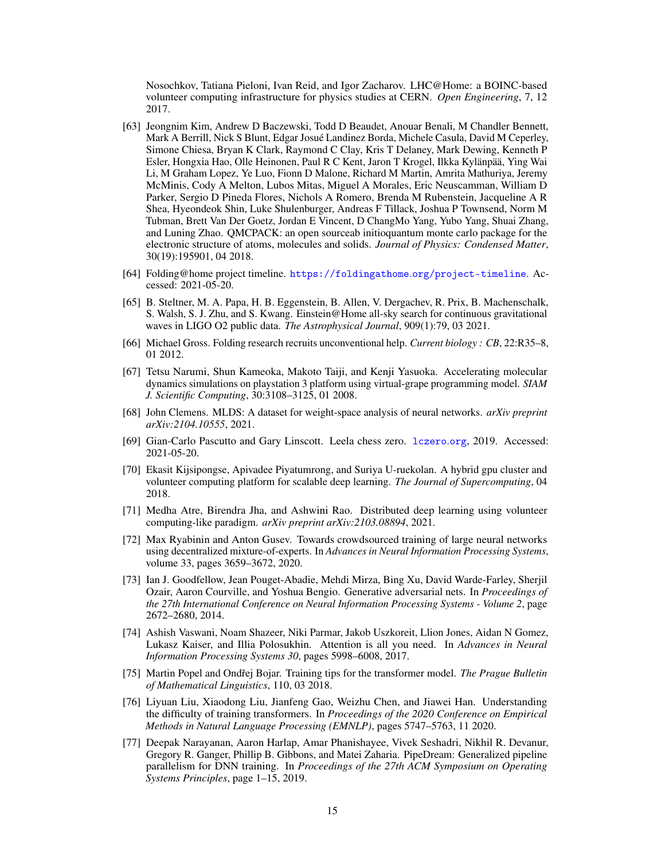Nosochkov, Tatiana Pieloni, Ivan Reid, and Igor Zacharov. LHC@Home: a BOINC-based volunteer computing infrastructure for physics studies at CERN. *Open Engineering*, 7, 12 2017.

- <span id="page-14-0"></span>[63] Jeongnim Kim, Andrew D Baczewski, Todd D Beaudet, Anouar Benali, M Chandler Bennett, Mark A Berrill, Nick S Blunt, Edgar Josué Landinez Borda, Michele Casula, David M Ceperley, Simone Chiesa, Bryan K Clark, Raymond C Clay, Kris T Delaney, Mark Dewing, Kenneth P Esler, Hongxia Hao, Olle Heinonen, Paul R C Kent, Jaron T Krogel, Ilkka Kylänpää, Ying Wai Li, M Graham Lopez, Ye Luo, Fionn D Malone, Richard M Martin, Amrita Mathuriya, Jeremy McMinis, Cody A Melton, Lubos Mitas, Miguel A Morales, Eric Neuscamman, William D Parker, Sergio D Pineda Flores, Nichols A Romero, Brenda M Rubenstein, Jacqueline A R Shea, Hyeondeok Shin, Luke Shulenburger, Andreas F Tillack, Joshua P Townsend, Norm M Tubman, Brett Van Der Goetz, Jordan E Vincent, D ChangMo Yang, Yubo Yang, Shuai Zhang, and Luning Zhao. QMCPACK: an open sourceab initioquantum monte carlo package for the electronic structure of atoms, molecules and solids. *Journal of Physics: Condensed Matter*, 30(19):195901, 04 2018.
- <span id="page-14-1"></span>[64] Folding@home project timeline. [https://foldingathome](https://foldingathome.org/project-timeline).org/project-timeline. Accessed: 2021-05-20.
- <span id="page-14-2"></span>[65] B. Steltner, M. A. Papa, H. B. Eggenstein, B. Allen, V. Dergachev, R. Prix, B. Machenschalk, S. Walsh, S. J. Zhu, and S. Kwang. Einstein@Home all-sky search for continuous gravitational waves in LIGO O2 public data. *The Astrophysical Journal*, 909(1):79, 03 2021.
- <span id="page-14-3"></span>[66] Michael Gross. Folding research recruits unconventional help. *Current biology : CB*, 22:R35–8, 01 2012.
- <span id="page-14-4"></span>[67] Tetsu Narumi, Shun Kameoka, Makoto Taiji, and Kenji Yasuoka. Accelerating molecular dynamics simulations on playstation 3 platform using virtual-grape programming model. *SIAM J. Scientific Computing*, 30:3108–3125, 01 2008.
- <span id="page-14-5"></span>[68] John Clemens. MLDS: A dataset for weight-space analysis of neural networks. *arXiv preprint arXiv:2104.10555*, 2021.
- <span id="page-14-6"></span>[69] Gian-Carlo Pascutto and Gary Linscott. Leela chess zero. [lczero](lczero.org).org, 2019. Accessed: 2021-05-20.
- <span id="page-14-7"></span>[70] Ekasit Kijsipongse, Apivadee Piyatumrong, and Suriya U-ruekolan. A hybrid gpu cluster and volunteer computing platform for scalable deep learning. *The Journal of Supercomputing*, 04 2018.
- <span id="page-14-8"></span>[71] Medha Atre, Birendra Jha, and Ashwini Rao. Distributed deep learning using volunteer computing-like paradigm. *arXiv preprint arXiv:2103.08894*, 2021.
- <span id="page-14-9"></span>[72] Max Ryabinin and Anton Gusev. Towards crowdsourced training of large neural networks using decentralized mixture-of-experts. In *Advances in Neural Information Processing Systems*, volume 33, pages 3659–3672, 2020.
- <span id="page-14-10"></span>[73] Ian J. Goodfellow, Jean Pouget-Abadie, Mehdi Mirza, Bing Xu, David Warde-Farley, Sherjil Ozair, Aaron Courville, and Yoshua Bengio. Generative adversarial nets. In *Proceedings of the 27th International Conference on Neural Information Processing Systems - Volume 2*, page 2672–2680, 2014.
- <span id="page-14-11"></span>[74] Ashish Vaswani, Noam Shazeer, Niki Parmar, Jakob Uszkoreit, Llion Jones, Aidan N Gomez, Lukasz Kaiser, and Illia Polosukhin. Attention is all you need. In *Advances in Neural Information Processing Systems 30*, pages 5998–6008, 2017.
- <span id="page-14-12"></span>[75] Martin Popel and Ondřej Bojar. Training tips for the transformer model. *The Prague Bulletin of Mathematical Linguistics*, 110, 03 2018.
- <span id="page-14-13"></span>[76] Liyuan Liu, Xiaodong Liu, Jianfeng Gao, Weizhu Chen, and Jiawei Han. Understanding the difficulty of training transformers. In *Proceedings of the 2020 Conference on Empirical Methods in Natural Language Processing (EMNLP)*, pages 5747–5763, 11 2020.
- <span id="page-14-14"></span>[77] Deepak Narayanan, Aaron Harlap, Amar Phanishayee, Vivek Seshadri, Nikhil R. Devanur, Gregory R. Ganger, Phillip B. Gibbons, and Matei Zaharia. PipeDream: Generalized pipeline parallelism for DNN training. In *Proceedings of the 27th ACM Symposium on Operating Systems Principles*, page 1–15, 2019.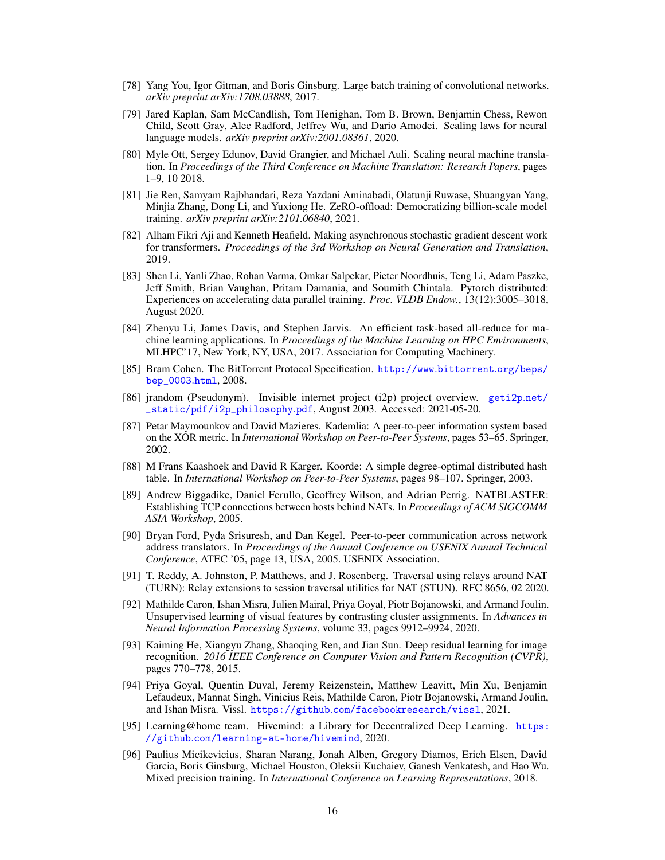- <span id="page-15-0"></span>[78] Yang You, Igor Gitman, and Boris Ginsburg. Large batch training of convolutional networks. *arXiv preprint arXiv:1708.03888*, 2017.
- <span id="page-15-1"></span>[79] Jared Kaplan, Sam McCandlish, Tom Henighan, Tom B. Brown, Benjamin Chess, Rewon Child, Scott Gray, Alec Radford, Jeffrey Wu, and Dario Amodei. Scaling laws for neural language models. *arXiv preprint arXiv:2001.08361*, 2020.
- <span id="page-15-2"></span>[80] Myle Ott, Sergey Edunov, David Grangier, and Michael Auli. Scaling neural machine translation. In *Proceedings of the Third Conference on Machine Translation: Research Papers*, pages 1–9, 10 2018.
- <span id="page-15-3"></span>[81] Jie Ren, Samyam Rajbhandari, Reza Yazdani Aminabadi, Olatunji Ruwase, Shuangyan Yang, Minjia Zhang, Dong Li, and Yuxiong He. ZeRO-offload: Democratizing billion-scale model training. *arXiv preprint arXiv:2101.06840*, 2021.
- <span id="page-15-4"></span>[82] Alham Fikri Aji and Kenneth Heafield. Making asynchronous stochastic gradient descent work for transformers. *Proceedings of the 3rd Workshop on Neural Generation and Translation*, 2019.
- <span id="page-15-5"></span>[83] Shen Li, Yanli Zhao, Rohan Varma, Omkar Salpekar, Pieter Noordhuis, Teng Li, Adam Paszke, Jeff Smith, Brian Vaughan, Pritam Damania, and Soumith Chintala. Pytorch distributed: Experiences on accelerating data parallel training. *Proc. VLDB Endow.*, 13(12):3005–3018, August 2020.
- <span id="page-15-6"></span>[84] Zhenyu Li, James Davis, and Stephen Jarvis. An efficient task-based all-reduce for machine learning applications. In *Proceedings of the Machine Learning on HPC Environments*, MLHPC'17, New York, NY, USA, 2017. Association for Computing Machinery.
- <span id="page-15-7"></span>[85] Bram Cohen. The BitTorrent Protocol Specification. [http://www](http://www.bittorrent.org/beps/bep_0003.html).bittorrent.org/beps/ [bep\\_0003](http://www.bittorrent.org/beps/bep_0003.html).html, 2008.
- <span id="page-15-8"></span>[86] jrandom (Pseudonym). Invisible internet project (i2p) project overview. [geti2p](geti2p.net/_static/pdf/i2p_philosophy.pdf).net/ [\\_static/pdf/i2p\\_philosophy](geti2p.net/_static/pdf/i2p_philosophy.pdf).pdf, August 2003. Accessed: 2021-05-20.
- <span id="page-15-9"></span>[87] Petar Maymounkov and David Mazieres. Kademlia: A peer-to-peer information system based on the XOR metric. In *International Workshop on Peer-to-Peer Systems*, pages 53–65. Springer, 2002.
- <span id="page-15-10"></span>[88] M Frans Kaashoek and David R Karger. Koorde: A simple degree-optimal distributed hash table. In *International Workshop on Peer-to-Peer Systems*, pages 98–107. Springer, 2003.
- <span id="page-15-11"></span>[89] Andrew Biggadike, Daniel Ferullo, Geoffrey Wilson, and Adrian Perrig. NATBLASTER: Establishing TCP connections between hosts behind NATs. In *Proceedings of ACM SIGCOMM ASIA Workshop*, 2005.
- <span id="page-15-12"></span>[90] Bryan Ford, Pyda Srisuresh, and Dan Kegel. Peer-to-peer communication across network address translators. In *Proceedings of the Annual Conference on USENIX Annual Technical Conference*, ATEC '05, page 13, USA, 2005. USENIX Association.
- <span id="page-15-13"></span>[91] T. Reddy, A. Johnston, P. Matthews, and J. Rosenberg. Traversal using relays around NAT (TURN): Relay extensions to session traversal utilities for NAT (STUN). RFC 8656, 02 2020.
- <span id="page-15-14"></span>[92] Mathilde Caron, Ishan Misra, Julien Mairal, Priya Goyal, Piotr Bojanowski, and Armand Joulin. Unsupervised learning of visual features by contrasting cluster assignments. In *Advances in Neural Information Processing Systems*, volume 33, pages 9912–9924, 2020.
- <span id="page-15-15"></span>[93] Kaiming He, Xiangyu Zhang, Shaoqing Ren, and Jian Sun. Deep residual learning for image recognition. *2016 IEEE Conference on Computer Vision and Pattern Recognition (CVPR)*, pages 770–778, 2015.
- <span id="page-15-16"></span>[94] Priya Goyal, Quentin Duval, Jeremy Reizenstein, Matthew Leavitt, Min Xu, Benjamin Lefaudeux, Mannat Singh, Vinicius Reis, Mathilde Caron, Piotr Bojanowski, Armand Joulin, and Ishan Misra. Vissl. https://github.[com/facebookresearch/vissl](https://github.com/facebookresearch/vissl), 2021.
- <span id="page-15-17"></span>[95] Learning@home team. Hivemind: a Library for Decentralized Deep Learning. [https:](https://github.com/learning-at-home/hivemind) //github.[com/learning-at-home/hivemind](https://github.com/learning-at-home/hivemind), 2020.
- <span id="page-15-18"></span>[96] Paulius Micikevicius, Sharan Narang, Jonah Alben, Gregory Diamos, Erich Elsen, David Garcia, Boris Ginsburg, Michael Houston, Oleksii Kuchaiev, Ganesh Venkatesh, and Hao Wu. Mixed precision training. In *International Conference on Learning Representations*, 2018.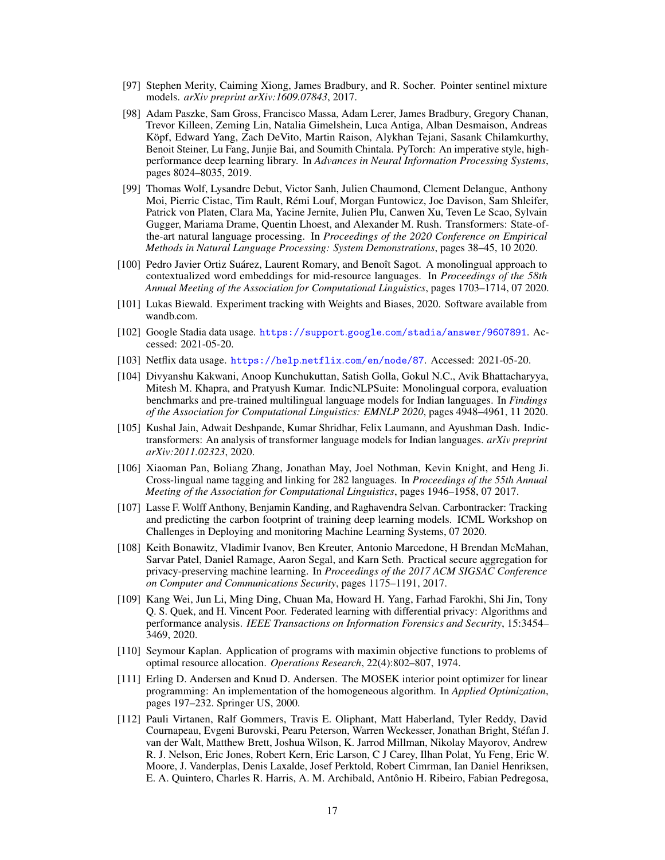- <span id="page-16-0"></span>[97] Stephen Merity, Caiming Xiong, James Bradbury, and R. Socher. Pointer sentinel mixture models. *arXiv preprint arXiv:1609.07843*, 2017.
- <span id="page-16-15"></span>[98] Adam Paszke, Sam Gross, Francisco Massa, Adam Lerer, James Bradbury, Gregory Chanan, Trevor Killeen, Zeming Lin, Natalia Gimelshein, Luca Antiga, Alban Desmaison, Andreas Köpf, Edward Yang, Zach DeVito, Martin Raison, Alykhan Tejani, Sasank Chilamkurthy, Benoit Steiner, Lu Fang, Junjie Bai, and Soumith Chintala. PyTorch: An imperative style, highperformance deep learning library. In *Advances in Neural Information Processing Systems*, pages 8024–8035, 2019.
- <span id="page-16-1"></span>[99] Thomas Wolf, Lysandre Debut, Victor Sanh, Julien Chaumond, Clement Delangue, Anthony Moi, Pierric Cistac, Tim Rault, Rémi Louf, Morgan Funtowicz, Joe Davison, Sam Shleifer, Patrick von Platen, Clara Ma, Yacine Jernite, Julien Plu, Canwen Xu, Teven Le Scao, Sylvain Gugger, Mariama Drame, Quentin Lhoest, and Alexander M. Rush. Transformers: State-ofthe-art natural language processing. In *Proceedings of the 2020 Conference on Empirical Methods in Natural Language Processing: System Demonstrations*, pages 38–45, 10 2020.
- <span id="page-16-2"></span>[100] Pedro Javier Ortiz Suárez, Laurent Romary, and Benoît Sagot. A monolingual approach to contextualized word embeddings for mid-resource languages. In *Proceedings of the 58th Annual Meeting of the Association for Computational Linguistics*, pages 1703–1714, 07 2020.
- <span id="page-16-3"></span>[101] Lukas Biewald. Experiment tracking with Weights and Biases, 2020. Software available from wandb.com.
- <span id="page-16-4"></span>[102] Google Stadia data usage. https://support.google.[com/stadia/answer/9607891](https://support.google.com/stadia/answer/9607891). Accessed: 2021-05-20.
- <span id="page-16-5"></span>[103] Netflix data usage. https://help.netflix.[com/en/node/87](https://help.netflix.com/en/node/87). Accessed: 2021-05-20.
- <span id="page-16-6"></span>[104] Divyanshu Kakwani, Anoop Kunchukuttan, Satish Golla, Gokul N.C., Avik Bhattacharyya, Mitesh M. Khapra, and Pratyush Kumar. IndicNLPSuite: Monolingual corpora, evaluation benchmarks and pre-trained multilingual language models for Indian languages. In *Findings of the Association for Computational Linguistics: EMNLP 2020*, pages 4948–4961, 11 2020.
- <span id="page-16-7"></span>[105] Kushal Jain, Adwait Deshpande, Kumar Shridhar, Felix Laumann, and Ayushman Dash. Indictransformers: An analysis of transformer language models for Indian languages. *arXiv preprint arXiv:2011.02323*, 2020.
- <span id="page-16-8"></span>[106] Xiaoman Pan, Boliang Zhang, Jonathan May, Joel Nothman, Kevin Knight, and Heng Ji. Cross-lingual name tagging and linking for 282 languages. In *Proceedings of the 55th Annual Meeting of the Association for Computational Linguistics*, pages 1946–1958, 07 2017.
- <span id="page-16-9"></span>[107] Lasse F. Wolff Anthony, Benjamin Kanding, and Raghavendra Selvan. Carbontracker: Tracking and predicting the carbon footprint of training deep learning models. ICML Workshop on Challenges in Deploying and monitoring Machine Learning Systems, 07 2020.
- <span id="page-16-10"></span>[108] Keith Bonawitz, Vladimir Ivanov, Ben Kreuter, Antonio Marcedone, H Brendan McMahan, Sarvar Patel, Daniel Ramage, Aaron Segal, and Karn Seth. Practical secure aggregation for privacy-preserving machine learning. In *Proceedings of the 2017 ACM SIGSAC Conference on Computer and Communications Security*, pages 1175–1191, 2017.
- <span id="page-16-11"></span>[109] Kang Wei, Jun Li, Ming Ding, Chuan Ma, Howard H. Yang, Farhad Farokhi, Shi Jin, Tony Q. S. Quek, and H. Vincent Poor. Federated learning with differential privacy: Algorithms and performance analysis. *IEEE Transactions on Information Forensics and Security*, 15:3454– 3469, 2020.
- <span id="page-16-12"></span>[110] Seymour Kaplan. Application of programs with maximin objective functions to problems of optimal resource allocation. *Operations Research*, 22(4):802–807, 1974.
- <span id="page-16-13"></span>[111] Erling D. Andersen and Knud D. Andersen. The MOSEK interior point optimizer for linear programming: An implementation of the homogeneous algorithm. In *Applied Optimization*, pages 197–232. Springer US, 2000.
- <span id="page-16-14"></span>[112] Pauli Virtanen, Ralf Gommers, Travis E. Oliphant, Matt Haberland, Tyler Reddy, David Cournapeau, Evgeni Burovski, Pearu Peterson, Warren Weckesser, Jonathan Bright, Stéfan J. van der Walt, Matthew Brett, Joshua Wilson, K. Jarrod Millman, Nikolay Mayorov, Andrew R. J. Nelson, Eric Jones, Robert Kern, Eric Larson, C J Carey, Ilhan Polat, Yu Feng, Eric W. Moore, J. Vanderplas, Denis Laxalde, Josef Perktold, Robert Cimrman, Ian Daniel Henriksen, E. A. Quintero, Charles R. Harris, A. M. Archibald, Antônio H. Ribeiro, Fabian Pedregosa,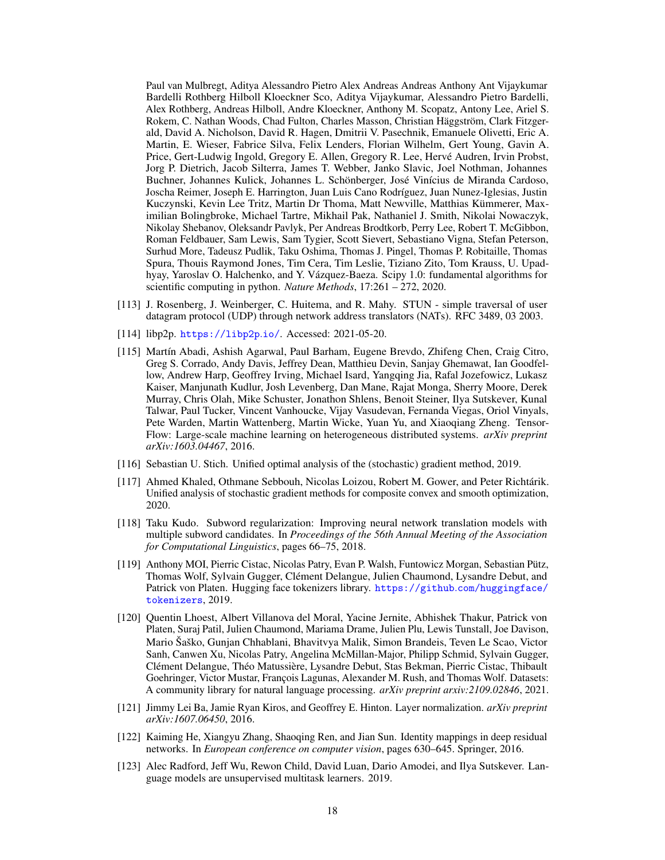Paul van Mulbregt, Aditya Alessandro Pietro Alex Andreas Andreas Anthony Ant Vijaykumar Bardelli Rothberg Hilboll Kloeckner Sco, Aditya Vijaykumar, Alessandro Pietro Bardelli, Alex Rothberg, Andreas Hilboll, Andre Kloeckner, Anthony M. Scopatz, Antony Lee, Ariel S. Rokem, C. Nathan Woods, Chad Fulton, Charles Masson, Christian Häggström, Clark Fitzgerald, David A. Nicholson, David R. Hagen, Dmitrii V. Pasechnik, Emanuele Olivetti, Eric A. Martin, E. Wieser, Fabrice Silva, Felix Lenders, Florian Wilhelm, Gert Young, Gavin A. Price, Gert-Ludwig Ingold, Gregory E. Allen, Gregory R. Lee, Hervé Audren, Irvin Probst, Jorg P. Dietrich, Jacob Silterra, James T. Webber, Janko Slavic, Joel Nothman, Johannes Buchner, Johannes Kulick, Johannes L. Schönberger, José Vinícius de Miranda Cardoso, Joscha Reimer, Joseph E. Harrington, Juan Luis Cano Rodríguez, Juan Nunez-Iglesias, Justin Kuczynski, Kevin Lee Tritz, Martin Dr Thoma, Matt Newville, Matthias Kümmerer, Maximilian Bolingbroke, Michael Tartre, Mikhail Pak, Nathaniel J. Smith, Nikolai Nowaczyk, Nikolay Shebanov, Oleksandr Pavlyk, Per Andreas Brodtkorb, Perry Lee, Robert T. McGibbon, Roman Feldbauer, Sam Lewis, Sam Tygier, Scott Sievert, Sebastiano Vigna, Stefan Peterson, Surhud More, Tadeusz Pudlik, Taku Oshima, Thomas J. Pingel, Thomas P. Robitaille, Thomas Spura, Thouis Raymond Jones, Tim Cera, Tim Leslie, Tiziano Zito, Tom Krauss, U. Upadhyay, Yaroslav O. Halchenko, and Y. Vázquez-Baeza. Scipy 1.0: fundamental algorithms for scientific computing in python. *Nature Methods*, 17:261 – 272, 2020.

- <span id="page-17-0"></span>[113] J. Rosenberg, J. Weinberger, C. Huitema, and R. Mahy. STUN - simple traversal of user datagram protocol (UDP) through network address translators (NATs). RFC 3489, 03 2003.
- <span id="page-17-1"></span>[114] libp2p. [https://libp2p](https://libp2p.io/).io/. Accessed: 2021-05-20.
- <span id="page-17-2"></span>[115] Martín Abadi, Ashish Agarwal, Paul Barham, Eugene Brevdo, Zhifeng Chen, Craig Citro, Greg S. Corrado, Andy Davis, Jeffrey Dean, Matthieu Devin, Sanjay Ghemawat, Ian Goodfellow, Andrew Harp, Geoffrey Irving, Michael Isard, Yangqing Jia, Rafal Jozefowicz, Lukasz Kaiser, Manjunath Kudlur, Josh Levenberg, Dan Mane, Rajat Monga, Sherry Moore, Derek Murray, Chris Olah, Mike Schuster, Jonathon Shlens, Benoit Steiner, Ilya Sutskever, Kunal Talwar, Paul Tucker, Vincent Vanhoucke, Vijay Vasudevan, Fernanda Viegas, Oriol Vinyals, Pete Warden, Martin Wattenberg, Martin Wicke, Yuan Yu, and Xiaoqiang Zheng. Tensor-Flow: Large-scale machine learning on heterogeneous distributed systems. *arXiv preprint arXiv:1603.04467*, 2016.
- <span id="page-17-3"></span>[116] Sebastian U. Stich. Unified optimal analysis of the (stochastic) gradient method, 2019.
- <span id="page-17-4"></span>[117] Ahmed Khaled, Othmane Sebbouh, Nicolas Loizou, Robert M. Gower, and Peter Richtárik. Unified analysis of stochastic gradient methods for composite convex and smooth optimization, 2020.
- <span id="page-17-5"></span>[118] Taku Kudo. Subword regularization: Improving neural network translation models with multiple subword candidates. In *Proceedings of the 56th Annual Meeting of the Association for Computational Linguistics*, pages 66–75, 2018.
- <span id="page-17-6"></span>[119] Anthony MOI, Pierric Cistac, Nicolas Patry, Evan P. Walsh, Funtowicz Morgan, Sebastian Pütz, Thomas Wolf, Sylvain Gugger, Clément Delangue, Julien Chaumond, Lysandre Debut, and Patrick von Platen. Hugging face tokenizers library. https://github.[com/huggingface/](https://github.com/huggingface/tokenizers) [tokenizers](https://github.com/huggingface/tokenizers), 2019.
- <span id="page-17-7"></span>[120] Quentin Lhoest, Albert Villanova del Moral, Yacine Jernite, Abhishek Thakur, Patrick von Platen, Suraj Patil, Julien Chaumond, Mariama Drame, Julien Plu, Lewis Tunstall, Joe Davison, Mario Šaško, Gunjan Chhablani, Bhavitvya Malik, Simon Brandeis, Teven Le Scao, Victor Sanh, Canwen Xu, Nicolas Patry, Angelina McMillan-Major, Philipp Schmid, Sylvain Gugger, Clément Delangue, Théo Matussière, Lysandre Debut, Stas Bekman, Pierric Cistac, Thibault Goehringer, Victor Mustar, François Lagunas, Alexander M. Rush, and Thomas Wolf. Datasets: A community library for natural language processing. *arXiv preprint arxiv:2109.02846*, 2021.
- <span id="page-17-8"></span>[121] Jimmy Lei Ba, Jamie Ryan Kiros, and Geoffrey E. Hinton. Layer normalization. *arXiv preprint arXiv:1607.06450*, 2016.
- <span id="page-17-9"></span>[122] Kaiming He, Xiangyu Zhang, Shaoqing Ren, and Jian Sun. Identity mappings in deep residual networks. In *European conference on computer vision*, pages 630–645. Springer, 2016.
- <span id="page-17-10"></span>[123] Alec Radford, Jeff Wu, Rewon Child, David Luan, Dario Amodei, and Ilya Sutskever. Language models are unsupervised multitask learners. 2019.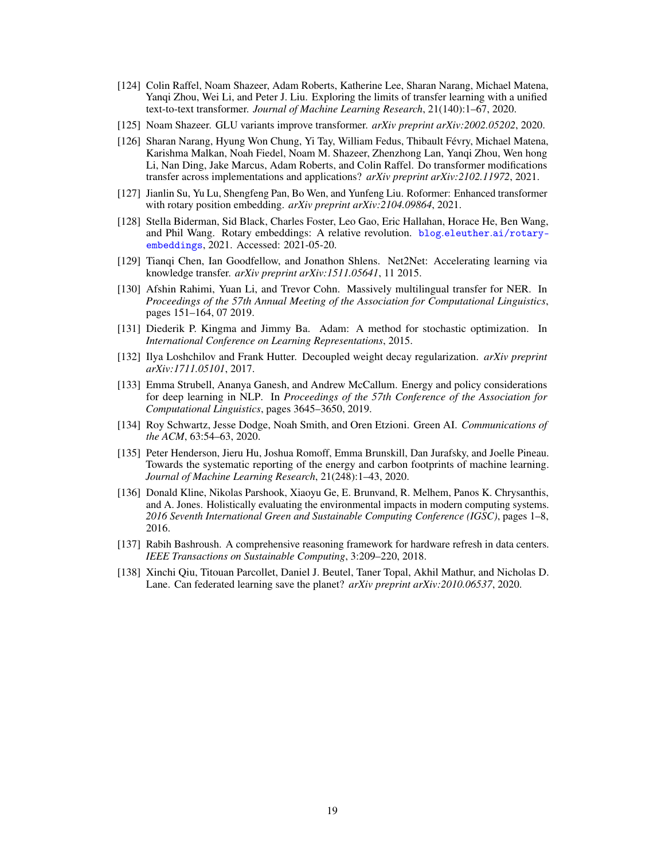- <span id="page-18-0"></span>[124] Colin Raffel, Noam Shazeer, Adam Roberts, Katherine Lee, Sharan Narang, Michael Matena, Yanqi Zhou, Wei Li, and Peter J. Liu. Exploring the limits of transfer learning with a unified text-to-text transformer. *Journal of Machine Learning Research*, 21(140):1–67, 2020.
- <span id="page-18-1"></span>[125] Noam Shazeer. GLU variants improve transformer. *arXiv preprint arXiv:2002.05202*, 2020.
- <span id="page-18-2"></span>[126] Sharan Narang, Hyung Won Chung, Yi Tay, William Fedus, Thibault Févry, Michael Matena, Karishma Malkan, Noah Fiedel, Noam M. Shazeer, Zhenzhong Lan, Yanqi Zhou, Wen hong Li, Nan Ding, Jake Marcus, Adam Roberts, and Colin Raffel. Do transformer modifications transfer across implementations and applications? *arXiv preprint arXiv:2102.11972*, 2021.
- <span id="page-18-3"></span>[127] Jianlin Su, Yu Lu, Shengfeng Pan, Bo Wen, and Yunfeng Liu. Roformer: Enhanced transformer with rotary position embedding. *arXiv preprint arXiv:2104.09864*, 2021.
- <span id="page-18-4"></span>[128] Stella Biderman, Sid Black, Charles Foster, Leo Gao, Eric Hallahan, Horace He, Ben Wang, and Phil Wang. Rotary embeddings: A relative revolution. blog.eleuther.[ai/rotary](blog.eleuther.ai/rotary-embeddings)[embeddings](blog.eleuther.ai/rotary-embeddings), 2021. Accessed: 2021-05-20.
- <span id="page-18-5"></span>[129] Tianqi Chen, Ian Goodfellow, and Jonathon Shlens. Net2Net: Accelerating learning via knowledge transfer. *arXiv preprint arXiv:1511.05641*, 11 2015.
- <span id="page-18-6"></span>[130] Afshin Rahimi, Yuan Li, and Trevor Cohn. Massively multilingual transfer for NER. In *Proceedings of the 57th Annual Meeting of the Association for Computational Linguistics*, pages 151–164, 07 2019.
- <span id="page-18-7"></span>[131] Diederik P. Kingma and Jimmy Ba. Adam: A method for stochastic optimization. In *International Conference on Learning Representations*, 2015.
- <span id="page-18-8"></span>[132] Ilya Loshchilov and Frank Hutter. Decoupled weight decay regularization. *arXiv preprint arXiv:1711.05101*, 2017.
- <span id="page-18-9"></span>[133] Emma Strubell, Ananya Ganesh, and Andrew McCallum. Energy and policy considerations for deep learning in NLP. In *Proceedings of the 57th Conference of the Association for Computational Linguistics*, pages 3645–3650, 2019.
- <span id="page-18-10"></span>[134] Roy Schwartz, Jesse Dodge, Noah Smith, and Oren Etzioni. Green AI. *Communications of the ACM*, 63:54–63, 2020.
- <span id="page-18-11"></span>[135] Peter Henderson, Jieru Hu, Joshua Romoff, Emma Brunskill, Dan Jurafsky, and Joelle Pineau. Towards the systematic reporting of the energy and carbon footprints of machine learning. *Journal of Machine Learning Research*, 21(248):1–43, 2020.
- <span id="page-18-12"></span>[136] Donald Kline, Nikolas Parshook, Xiaoyu Ge, E. Brunvand, R. Melhem, Panos K. Chrysanthis, and A. Jones. Holistically evaluating the environmental impacts in modern computing systems. *2016 Seventh International Green and Sustainable Computing Conference (IGSC)*, pages 1–8, 2016.
- <span id="page-18-13"></span>[137] Rabih Bashroush. A comprehensive reasoning framework for hardware refresh in data centers. *IEEE Transactions on Sustainable Computing*, 3:209–220, 2018.
- <span id="page-18-14"></span>[138] Xinchi Qiu, Titouan Parcollet, Daniel J. Beutel, Taner Topal, Akhil Mathur, and Nicholas D. Lane. Can federated learning save the planet? *arXiv preprint arXiv:2010.06537*, 2020.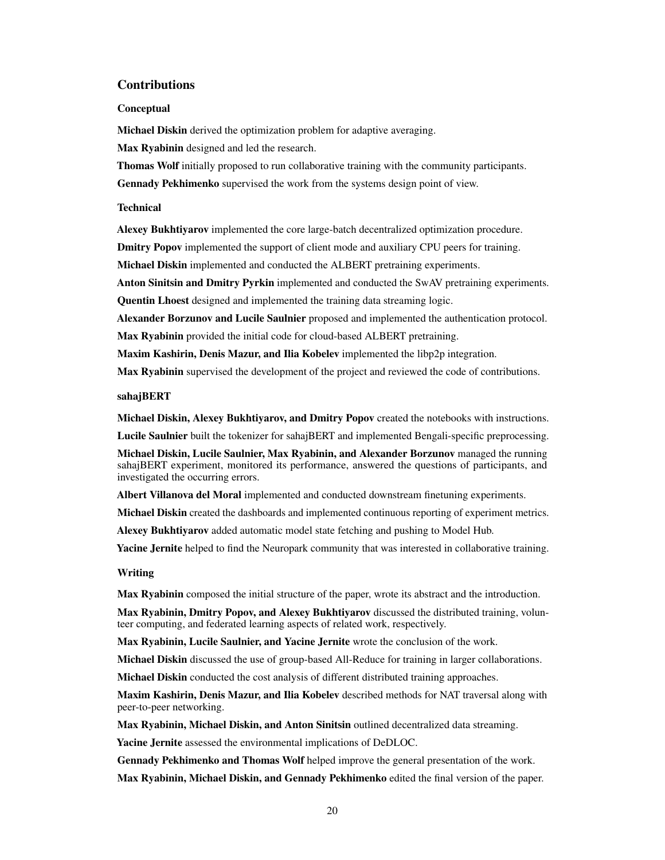### <span id="page-19-0"></span>Contributions

#### **Conceptual**

Michael Diskin derived the optimization problem for adaptive averaging.

Max Ryabinin designed and led the research.

Thomas Wolf initially proposed to run collaborative training with the community participants.

Gennady Pekhimenko supervised the work from the systems design point of view.

#### **Technical**

Alexey Bukhtiyarov implemented the core large-batch decentralized optimization procedure.

Dmitry Popov implemented the support of client mode and auxiliary CPU peers for training.

Michael Diskin implemented and conducted the ALBERT pretraining experiments.

Anton Sinitsin and Dmitry Pyrkin implemented and conducted the SwAV pretraining experiments. Quentin Lhoest designed and implemented the training data streaming logic.

Alexander Borzunov and Lucile Saulnier proposed and implemented the authentication protocol. Max Ryabinin provided the initial code for cloud-based ALBERT pretraining.

Maxim Kashirin, Denis Mazur, and Ilia Kobelev implemented the libp2p integration.

Max Ryabinin supervised the development of the project and reviewed the code of contributions.

#### sahajBERT

Michael Diskin, Alexey Bukhtiyarov, and Dmitry Popov created the notebooks with instructions.

Lucile Saulnier built the tokenizer for sahajBERT and implemented Bengali-specific preprocessing.

Michael Diskin, Lucile Saulnier, Max Ryabinin, and Alexander Borzunov managed the running sahajBERT experiment, monitored its performance, answered the questions of participants, and investigated the occurring errors.

Albert Villanova del Moral implemented and conducted downstream finetuning experiments.

Michael Diskin created the dashboards and implemented continuous reporting of experiment metrics.

Alexey Bukhtiyarov added automatic model state fetching and pushing to Model Hub.

Yacine Jernite helped to find the Neuropark community that was interested in collaborative training.

### Writing

Max Ryabinin composed the initial structure of the paper, wrote its abstract and the introduction.

Max Ryabinin, Dmitry Popov, and Alexey Bukhtiyarov discussed the distributed training, volunteer computing, and federated learning aspects of related work, respectively.

Max Ryabinin, Lucile Saulnier, and Yacine Jernite wrote the conclusion of the work.

Michael Diskin discussed the use of group-based All-Reduce for training in larger collaborations.

Michael Diskin conducted the cost analysis of different distributed training approaches.

Maxim Kashirin, Denis Mazur, and Ilia Kobelev described methods for NAT traversal along with peer-to-peer networking.

Max Ryabinin, Michael Diskin, and Anton Sinitsin outlined decentralized data streaming.

Yacine Jernite assessed the environmental implications of DeDLOC.

Gennady Pekhimenko and Thomas Wolf helped improve the general presentation of the work.

Max Ryabinin, Michael Diskin, and Gennady Pekhimenko edited the final version of the paper.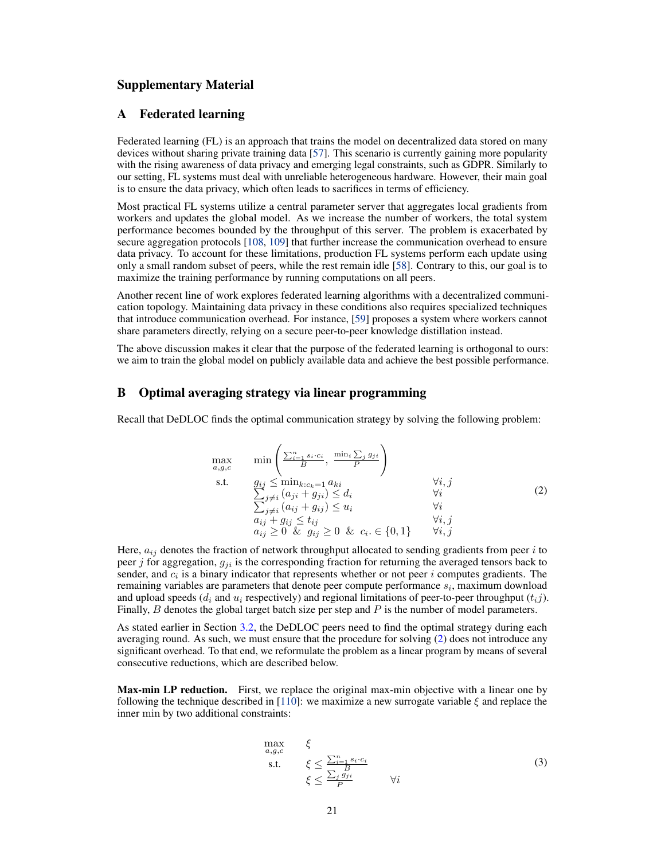# Supplementary Material

### <span id="page-20-0"></span>A Federated learning

Federated learning (FL) is an approach that trains the model on decentralized data stored on many devices without sharing private training data [\[57\]](#page-13-12). This scenario is currently gaining more popularity with the rising awareness of data privacy and emerging legal constraints, such as GDPR. Similarly to our setting, FL systems must deal with unreliable heterogeneous hardware. However, their main goal is to ensure the data privacy, which often leads to sacrifices in terms of efficiency.

Most practical FL systems utilize a central parameter server that aggregates local gradients from workers and updates the global model. As we increase the number of workers, the total system performance becomes bounded by the throughput of this server. The problem is exacerbated by secure aggregation protocols [\[108,](#page-16-10) [109\]](#page-16-11) that further increase the communication overhead to ensure data privacy. To account for these limitations, production FL systems perform each update using only a small random subset of peers, while the rest remain idle [\[58\]](#page-13-13). Contrary to this, our goal is to maximize the training performance by running computations on all peers.

Another recent line of work explores federated learning algorithms with a decentralized communication topology. Maintaining data privacy in these conditions also requires specialized techniques that introduce communication overhead. For instance, [\[59\]](#page-13-14) proposes a system where workers cannot share parameters directly, relying on a secure peer-to-peer knowledge distillation instead.

The above discussion makes it clear that the purpose of the federated learning is orthogonal to ours: we aim to train the global model on publicly available data and achieve the best possible performance.

### <span id="page-20-1"></span>B Optimal averaging strategy via linear programming

<span id="page-20-2"></span>Recall that DeDLOC finds the optimal communication strategy by solving the following problem:

max a,g,c min P<sup>n</sup> <sup>i</sup>=1 si·c<sup>i</sup> B , min<sup>i</sup> P j gji P ! s.t. g P ij ≤ mink:ck=1 aki ∀i, j j6=i P (aji + gji) ≤ d<sup>i</sup> ∀i j6=i (aij + gij ) ≤ u<sup>i</sup> ∀i aij + gij ≤ tij ∀i, j aij ≥ 0 & gij ≥ 0 & c<sup>i</sup> . ∈ {0, 1} ∀i, j (2)

Here,  $a_{ij}$  denotes the fraction of network throughput allocated to sending gradients from peer i to peer j for aggregation,  $g_{ii}$  is the corresponding fraction for returning the averaged tensors back to sender, and  $c_i$  is a binary indicator that represents whether or not peer i computes gradients. The remaining variables are parameters that denote peer compute performance  $s_i$ , maximum download and upload speeds ( $d_i$  and  $u_i$  respectively) and regional limitations of peer-to-peer throughput  $(t_i j)$ . Finally,  $B$  denotes the global target batch size per step and  $P$  is the number of model parameters.

As stated earlier in Section [3.2,](#page-4-0) the DeDLOC peers need to find the optimal strategy during each averaging round. As such, we must ensure that the procedure for solving [\(2\)](#page-20-2) does not introduce any significant overhead. To that end, we reformulate the problem as a linear program by means of several consecutive reductions, which are described below.

Max-min LP reduction. First, we replace the original max-min objective with a linear one by following the technique described in [\[110\]](#page-16-12): we maximize a new surrogate variable  $\xi$  and replace the inner min by two additional constraints:

$$
\max_{a,g,c} \xi
$$
\n
$$
\xi \le \frac{\sum_{i=1}^{n} s_i \cdot c_i}{\xi} \xi
$$
\n
$$
\xi \le \frac{\sum_{j}^{n} B_j}{P} \qquad \forall i
$$
\n(3)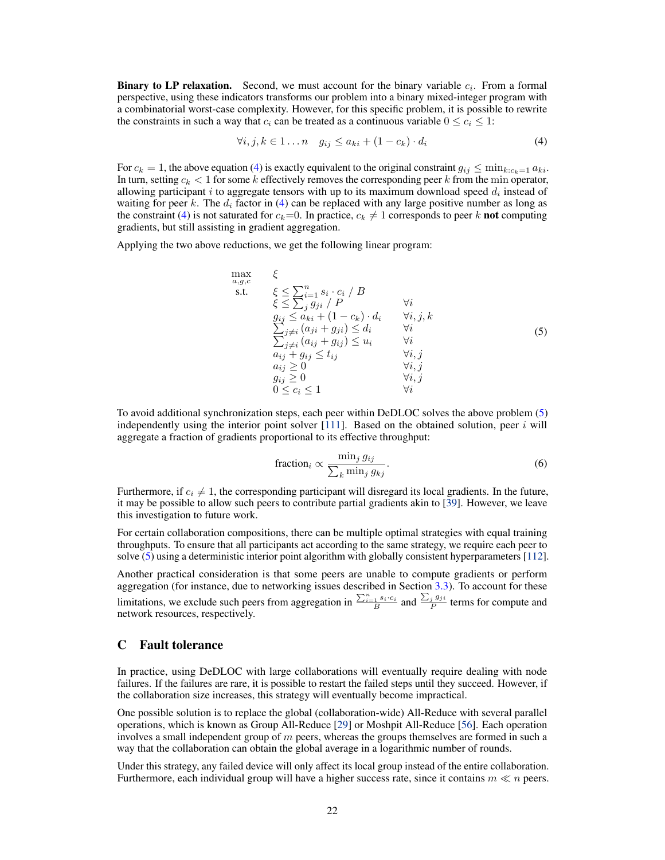**Binary to LP relaxation.** Second, we must account for the binary variable  $c_i$ . From a formal perspective, using these indicators transforms our problem into a binary mixed-integer program with a combinatorial worst-case complexity. However, for this specific problem, it is possible to rewrite the constraints in such a way that  $c_i$  can be treated as a continuous variable  $0 \leq c_i \leq 1$ :

<span id="page-21-1"></span>
$$
\forall i, j, k \in 1 \dots n \quad g_{ij} \le a_{ki} + (1 - c_k) \cdot d_i \tag{4}
$$

For  $c_k = 1$ , the above equation [\(4\)](#page-21-1) is exactly equivalent to the original constraint  $g_{ij} \le \min_{k:c_k=1} a_{ki}$ . In turn, setting  $c_k < 1$  for some k effectively removes the corresponding peer k from the min operator, allowing participant i to aggregate tensors with up to its maximum download speed  $d_i$  instead of waiting for peer k. The  $d_i$  factor in [\(4\)](#page-21-1) can be replaced with any large positive number as long as the constraint [\(4\)](#page-21-1) is not saturated for  $c_k=0$ . In practice,  $c_k \neq 1$  corresponds to peer k **not** computing gradients, but still assisting in gradient aggregation.

<span id="page-21-2"></span>Applying the two above reductions, we get the following linear program:

$$
\max_{a,g,c} \xi
$$
\ns.t. 
$$
\xi \le \sum_{j}^{n} g_{ji} / P
$$
\n
$$
\xi \le \sum_{j}^{n} g_{ji} / P
$$
\n
$$
g_{ij} \le a_{ki} + (1 - c_k) \cdot d_i \quad \forall i, j, k
$$
\n
$$
\sum_{j \neq i} (a_{ji} + g_{ji}) \le d_i \quad \forall i
$$
\n
$$
\sum_{j \neq i} (a_{ij} + g_{ij}) \le u_i \quad \forall i
$$
\n
$$
a_{ij} + g_{ij} \le t_{ij} \quad \forall i, j
$$
\n
$$
a_{ij} \ge 0 \quad \forall i, j
$$
\n
$$
g_{ij} \ge 0 \quad \forall i, j
$$
\n
$$
0 \le c_i \le 1 \quad \forall i
$$
\n
$$
\forall i
$$

To avoid additional synchronization steps, each peer within DeDLOC solves the above problem [\(5\)](#page-21-2) independently using the interior point solver  $[111]$ . Based on the obtained solution, peer i will aggregate a fraction of gradients proportional to its effective throughput:

$$
\text{fraction}_{i} \propto \frac{\min_{j} g_{ij}}{\sum_{k} \min_{j} g_{kj}}.\tag{6}
$$

Furthermore, if  $c_i \neq 1$ , the corresponding participant will disregard its local gradients. In the future, it may be possible to allow such peers to contribute partial gradients akin to [\[39\]](#page-12-11). However, we leave this investigation to future work.

For certain collaboration compositions, there can be multiple optimal strategies with equal training throughputs. To ensure that all participants act according to the same strategy, we require each peer to solve [\(5\)](#page-21-2) using a deterministic interior point algorithm with globally consistent hyperparameters [\[112\]](#page-16-14).

Another practical consideration is that some peers are unable to compute gradients or perform aggregation (for instance, due to networking issues described in Section [3.3\)](#page-5-0). To account for these limitations, we exclude such peers from aggregation in  $\frac{\sum_{i=1}^{n} s_i \cdot c_i}{B}$  and  $\frac{\sum_{j} g_{ji}}{P}$  $\frac{j^{g_j g_j}}{P}$  terms for compute and network resources, respectively.

### <span id="page-21-0"></span>C Fault tolerance

In practice, using DeDLOC with large collaborations will eventually require dealing with node failures. If the failures are rare, it is possible to restart the failed steps until they succeed. However, if the collaboration size increases, this strategy will eventually become impractical.

One possible solution is to replace the global (collaboration-wide) All-Reduce with several parallel operations, which is known as Group All-Reduce [\[29\]](#page-12-1) or Moshpit All-Reduce [\[56\]](#page-13-11). Each operation involves a small independent group of  $m$  peers, whereas the groups themselves are formed in such a way that the collaboration can obtain the global average in a logarithmic number of rounds.

Under this strategy, any failed device will only affect its local group instead of the entire collaboration. Furthermore, each individual group will have a higher success rate, since it contains  $m \ll n$  peers.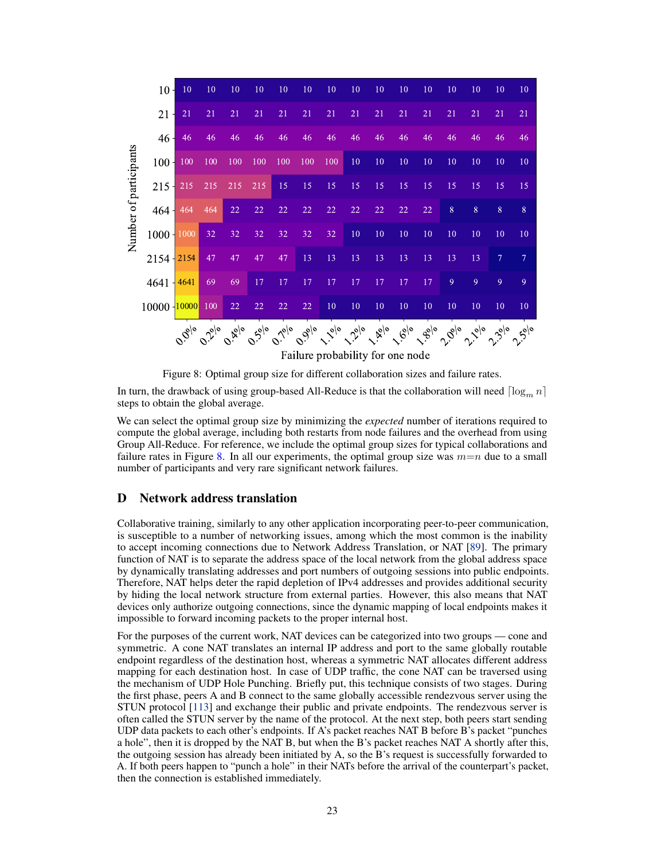<span id="page-22-1"></span>

|                                  | 10 -             | 10                               | 10                                   | 10                                     | 10                  | 10                           | 10                                           | 10            | 10          | 10 | 10 | 10     | 10                                                                                                                                                                                                                                     | 10 | 10 | 10   |
|----------------------------------|------------------|----------------------------------|--------------------------------------|----------------------------------------|---------------------|------------------------------|----------------------------------------------|---------------|-------------|----|----|--------|----------------------------------------------------------------------------------------------------------------------------------------------------------------------------------------------------------------------------------------|----|----|------|
|                                  | $21 -$           | 21                               | 21                                   | 21                                     | 21                  | 21                           | 21                                           | 21            | 21          | 21 | 21 | 21     | 21                                                                                                                                                                                                                                     | 21 | 21 | 21   |
|                                  | $46 -$           | 46                               | 46                                   | 46                                     | 46                  | 46                           | 46                                           | 46            | 46          | 46 | 46 | 46     | 46                                                                                                                                                                                                                                     | 46 | 46 | 46   |
| Number of participants           | 100 <sub>1</sub> | 100                              | 100                                  | 100                                    | 100                 | 100                          | 100                                          | 100           | 10          | 10 | 10 | $10\,$ | 10                                                                                                                                                                                                                                     | 10 | 10 | 10   |
|                                  | $215 +$          | 215                              | 215                                  | 215                                    | 215                 | 15                           | 15                                           | 15            | 15          | 15 | 15 | 15     | 15                                                                                                                                                                                                                                     | 15 | 15 | 15   |
|                                  | $464 \pm$        | 464                              | 464                                  | 22                                     | 22                  | 22                           | 22                                           | 22            | 22          | 22 | 22 | 22     | 8                                                                                                                                                                                                                                      | 8  | 8  | 8    |
|                                  | 1000             | 1000                             | 32                                   | 32                                     | 32                  | 32                           | 32                                           | 32            | 10          | 10 | 10 | 10     | 10                                                                                                                                                                                                                                     | 10 | 10 | 10   |
|                                  | $2154 + 2154$    |                                  | 47                                   | 47                                     | 47                  | 47                           | 13                                           | 13            | 13          | 13 | 13 | 13     | 13                                                                                                                                                                                                                                     | 13 | 7  | 7    |
|                                  | 4641             | 4641                             | 69                                   | 69                                     | 17                  | 17                           | 17                                           | 17            | 17          | 17 | 17 | 17     | 9                                                                                                                                                                                                                                      | 9  | 9  | 9    |
|                                  | 10000 10000      |                                  | 100                                  | 22                                     | 22                  | 22                           | 22                                           | 10            | 10          | 10 | 10 | 10     | 10                                                                                                                                                                                                                                     | 10 | 10 | 10   |
|                                  |                  | $\sigma_{\! \hat{\varrho}_{ o}}$ | $\mathcal{O}_{\mathcal{S}_{\rho o}}$ | $\sim_{\widetilde{\mathcal{C}}\mid o}$ | $e^{iS_{0}/\sigma}$ | $\sigma_{\mathcal{V}_{o o}}$ | $\sigma_{\dot{\partial}_{\dot{\partial}} o}$ | $\frac{1}{2}$ | $2^{2^{6}}$ |    |    |        | $\mathcal{L}_{\mathcal{B},\rho}$ $\mathcal{L}_{\mathcal{G},\rho}$ $\mathcal{L}_{\mathcal{G},\rho}$ $\mathcal{L}_{\mathcal{G},\rho}$ $\mathcal{L}_{\mathcal{G},\rho}$ $\mathcal{L}_{\mathcal{G},\rho}$ $\mathcal{L}_{\mathcal{G},\rho}$ |    |    | 2.5% |
| Failure probability for one node |                  |                                  |                                      |                                        |                     |                              |                                              |               |             |    |    |        |                                                                                                                                                                                                                                        |    |    |      |

Figure 8: Optimal group size for different collaboration sizes and failure rates.

In turn, the drawback of using group-based All-Reduce is that the collaboration will need  $\lfloor \log_m n \rfloor$ steps to obtain the global average.

We can select the optimal group size by minimizing the *expected* number of iterations required to compute the global average, including both restarts from node failures and the overhead from using Group All-Reduce. For reference, we include the optimal group sizes for typical collaborations and failure rates in Figure [8.](#page-22-1) In all our experiments, the optimal group size was  $m=n$  due to a small number of participants and very rare significant network failures.

# <span id="page-22-0"></span>D Network address translation

Collaborative training, similarly to any other application incorporating peer-to-peer communication, is susceptible to a number of networking issues, among which the most common is the inability to accept incoming connections due to Network Address Translation, or NAT [\[89\]](#page-15-11). The primary function of NAT is to separate the address space of the local network from the global address space by dynamically translating addresses and port numbers of outgoing sessions into public endpoints. Therefore, NAT helps deter the rapid depletion of IPv4 addresses and provides additional security by hiding the local network structure from external parties. However, this also means that NAT devices only authorize outgoing connections, since the dynamic mapping of local endpoints makes it impossible to forward incoming packets to the proper internal host.

For the purposes of the current work, NAT devices can be categorized into two groups — cone and symmetric. A cone NAT translates an internal IP address and port to the same globally routable endpoint regardless of the destination host, whereas a symmetric NAT allocates different address mapping for each destination host. In case of UDP traffic, the cone NAT can be traversed using the mechanism of UDP Hole Punching. Briefly put, this technique consists of two stages. During the first phase, peers A and B connect to the same globally accessible rendezvous server using the STUN protocol [\[113\]](#page-17-0) and exchange their public and private endpoints. The rendezvous server is often called the STUN server by the name of the protocol. At the next step, both peers start sending UDP data packets to each other's endpoints. If A's packet reaches NAT B before B's packet "punches a hole", then it is dropped by the NAT B, but when the B's packet reaches NAT A shortly after this, the outgoing session has already been initiated by A, so the B's request is successfully forwarded to A. If both peers happen to "punch a hole" in their NATs before the arrival of the counterpart's packet, then the connection is established immediately.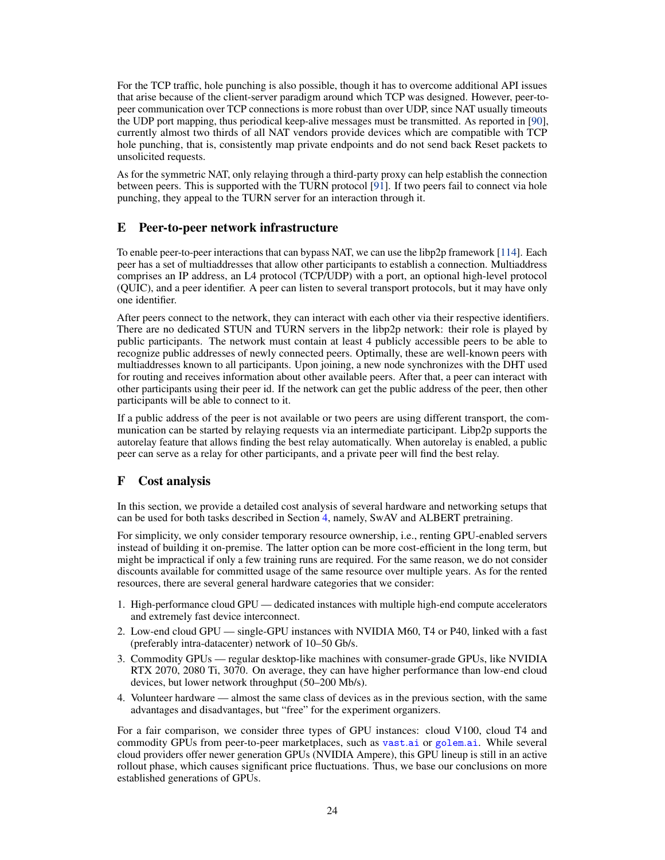For the TCP traffic, hole punching is also possible, though it has to overcome additional API issues that arise because of the client-server paradigm around which TCP was designed. However, peer-topeer communication over TCP connections is more robust than over UDP, since NAT usually timeouts the UDP port mapping, thus periodical keep-alive messages must be transmitted. As reported in [\[90\]](#page-15-12), currently almost two thirds of all NAT vendors provide devices which are compatible with TCP hole punching, that is, consistently map private endpoints and do not send back Reset packets to unsolicited requests.

As for the symmetric NAT, only relaying through a third-party proxy can help establish the connection between peers. This is supported with the TURN protocol [\[91\]](#page-15-13). If two peers fail to connect via hole punching, they appeal to the TURN server for an interaction through it.

# <span id="page-23-1"></span>E Peer-to-peer network infrastructure

To enable peer-to-peer interactions that can bypass NAT, we can use the libp2p framework [\[114\]](#page-17-1). Each peer has a set of multiaddresses that allow other participants to establish a connection. Multiaddress comprises an IP address, an L4 protocol (TCP/UDP) with a port, an optional high-level protocol (QUIC), and a peer identifier. A peer can listen to several transport protocols, but it may have only one identifier.

After peers connect to the network, they can interact with each other via their respective identifiers. There are no dedicated STUN and TURN servers in the libp2p network: their role is played by public participants. The network must contain at least 4 publicly accessible peers to be able to recognize public addresses of newly connected peers. Optimally, these are well-known peers with multiaddresses known to all participants. Upon joining, a new node synchronizes with the DHT used for routing and receives information about other available peers. After that, a peer can interact with other participants using their peer id. If the network can get the public address of the peer, then other participants will be able to connect to it.

If a public address of the peer is not available or two peers are using different transport, the communication can be started by relaying requests via an intermediate participant. Libp2p supports the autorelay feature that allows finding the best relay automatically. When autorelay is enabled, a public peer can serve as a relay for other participants, and a private peer will find the best relay.

# <span id="page-23-0"></span>F Cost analysis

In this section, we provide a detailed cost analysis of several hardware and networking setups that can be used for both tasks described in Section [4,](#page-6-0) namely, SwAV and ALBERT pretraining.

For simplicity, we only consider temporary resource ownership, i.e., renting GPU-enabled servers instead of building it on-premise. The latter option can be more cost-efficient in the long term, but might be impractical if only a few training runs are required. For the same reason, we do not consider discounts available for committed usage of the same resource over multiple years. As for the rented resources, there are several general hardware categories that we consider:

- 1. High-performance cloud GPU dedicated instances with multiple high-end compute accelerators and extremely fast device interconnect.
- 2. Low-end cloud GPU single-GPU instances with NVIDIA M60, T4 or P40, linked with a fast (preferably intra-datacenter) network of 10–50 Gb/s.
- 3. Commodity GPUs regular desktop-like machines with consumer-grade GPUs, like NVIDIA RTX 2070, 2080 Ti, 3070. On average, they can have higher performance than low-end cloud devices, but lower network throughput (50–200 Mb/s).
- 4. Volunteer hardware almost the same class of devices as in the previous section, with the same advantages and disadvantages, but "free" for the experiment organizers.

For a fair comparison, we consider three types of GPU instances: cloud V100, cloud T4 and commodity GPUs from peer-to-peer marketplaces, such as [vast](vast.ai).ai or [golem](golem.ai).ai. While several cloud providers offer newer generation GPUs (NVIDIA Ampere), this GPU lineup is still in an active rollout phase, which causes significant price fluctuations. Thus, we base our conclusions on more established generations of GPUs.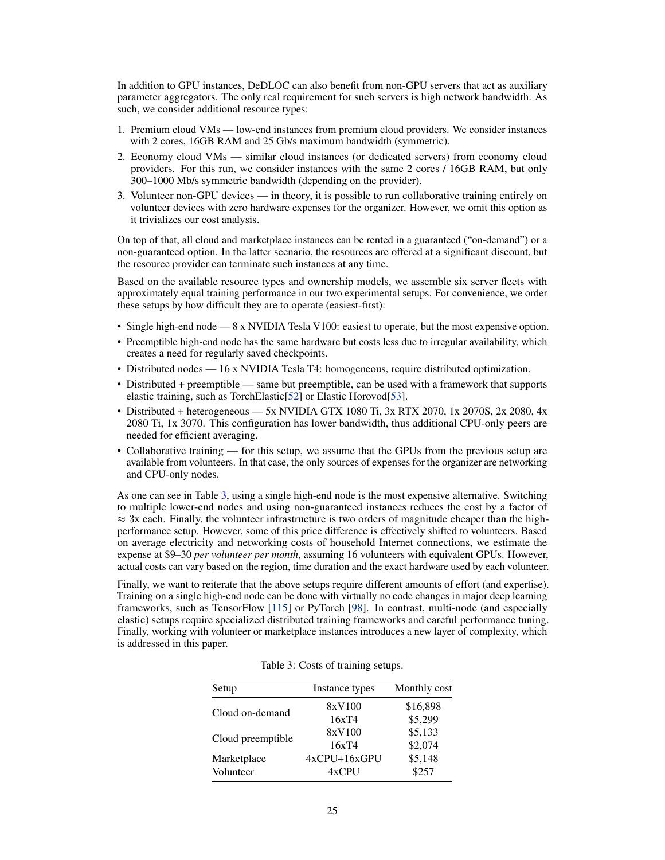In addition to GPU instances, DeDLOC can also benefit from non-GPU servers that act as auxiliary parameter aggregators. The only real requirement for such servers is high network bandwidth. As such, we consider additional resource types:

- 1. Premium cloud VMs low-end instances from premium cloud providers. We consider instances with 2 cores, 16GB RAM and 25 Gb/s maximum bandwidth (symmetric).
- 2. Economy cloud VMs similar cloud instances (or dedicated servers) from economy cloud providers. For this run, we consider instances with the same 2 cores / 16GB RAM, but only 300–1000 Mb/s symmetric bandwidth (depending on the provider).
- 3. Volunteer non-GPU devices in theory, it is possible to run collaborative training entirely on volunteer devices with zero hardware expenses for the organizer. However, we omit this option as it trivializes our cost analysis.

On top of that, all cloud and marketplace instances can be rented in a guaranteed ("on-demand") or a non-guaranteed option. In the latter scenario, the resources are offered at a significant discount, but the resource provider can terminate such instances at any time.

Based on the available resource types and ownership models, we assemble six server fleets with approximately equal training performance in our two experimental setups. For convenience, we order these setups by how difficult they are to operate (easiest-first):

- Single high-end node 8 x NVIDIA Tesla V100: easiest to operate, but the most expensive option.
- Preemptible high-end node has the same hardware but costs less due to irregular availability, which creates a need for regularly saved checkpoints.
- Distributed nodes 16 x NVIDIA Tesla T4: homogeneous, require distributed optimization.
- Distributed + preemptible same but preemptible, can be used with a framework that supports elastic training, such as TorchElastic[\[52\]](#page-13-7) or Elastic Horovod[\[53\]](#page-13-8).
- Distributed + heterogeneous 5x NVIDIA GTX 1080 Ti, 3x RTX 2070, 1x 2070S, 2x 2080, 4x 2080 Ti, 1x 3070. This configuration has lower bandwidth, thus additional CPU-only peers are needed for efficient averaging.
- Collaborative training for this setup, we assume that the GPUs from the previous setup are available from volunteers. In that case, the only sources of expenses for the organizer are networking and CPU-only nodes.

As one can see in Table [3,](#page-24-0) using a single high-end node is the most expensive alternative. Switching to multiple lower-end nodes and using non-guaranteed instances reduces the cost by a factor of  $\approx$  3x each. Finally, the volunteer infrastructure is two orders of magnitude cheaper than the highperformance setup. However, some of this price difference is effectively shifted to volunteers. Based on average electricity and networking costs of household Internet connections, we estimate the expense at \$9–30 *per volunteer per month*, assuming 16 volunteers with equivalent GPUs. However, actual costs can vary based on the region, time duration and the exact hardware used by each volunteer.

<span id="page-24-0"></span>Finally, we want to reiterate that the above setups require different amounts of effort (and expertise). Training on a single high-end node can be done with virtually no code changes in major deep learning frameworks, such as TensorFlow [\[115\]](#page-17-2) or PyTorch [\[98\]](#page-16-15). In contrast, multi-node (and especially elastic) setups require specialized distributed training frameworks and careful performance tuning. Finally, working with volunteer or marketplace instances introduces a new layer of complexity, which is addressed in this paper.

| Setup             | Instance types      | Monthly cost |  |  |
|-------------------|---------------------|--------------|--|--|
| Cloud on-demand   | 8xV100              | \$16,898     |  |  |
|                   | 16xT4               | \$5,299      |  |  |
|                   | 8xV100              | \$5,133      |  |  |
| Cloud preemptible | 16xT4               | \$2,074      |  |  |
| Marketplace       | $4x$ CPU+ $16x$ GPU | \$5,148      |  |  |
| Volunteer         | $4x$ CPU            | \$2.57       |  |  |

Table 3: Costs of training setups.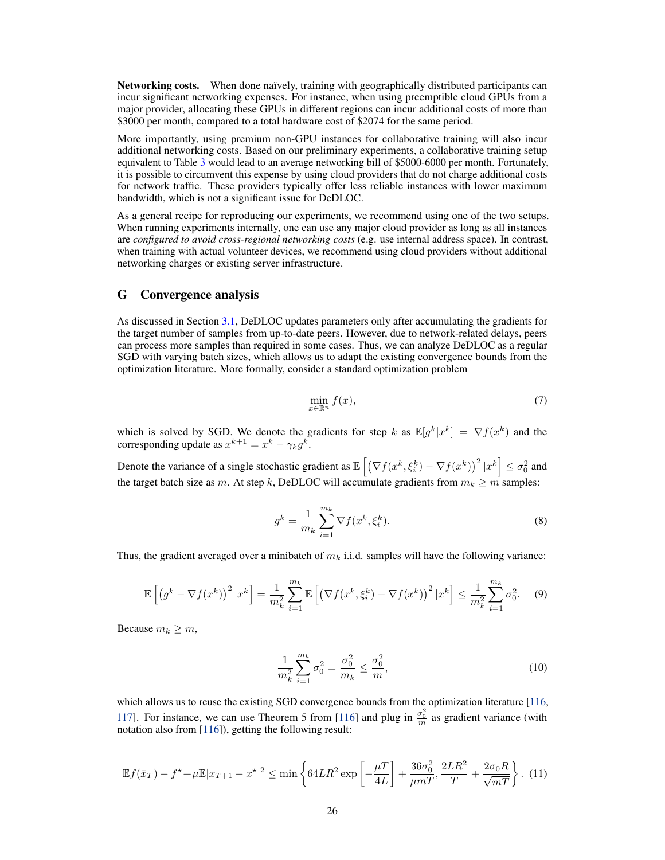Networking costs. When done naïvely, training with geographically distributed participants can incur significant networking expenses. For instance, when using preemptible cloud GPUs from a major provider, allocating these GPUs in different regions can incur additional costs of more than \$3000 per month, compared to a total hardware cost of \$2074 for the same period.

More importantly, using premium non-GPU instances for collaborative training will also incur additional networking costs. Based on our preliminary experiments, a collaborative training setup equivalent to Table [3](#page-24-0) would lead to an average networking bill of \$5000-6000 per month. Fortunately, it is possible to circumvent this expense by using cloud providers that do not charge additional costs for network traffic. These providers typically offer less reliable instances with lower maximum bandwidth, which is not a significant issue for DeDLOC.

As a general recipe for reproducing our experiments, we recommend using one of the two setups. When running experiments internally, one can use any major cloud provider as long as all instances are *configured to avoid cross-regional networking costs* (e.g. use internal address space). In contrast, when training with actual volunteer devices, we recommend using cloud providers without additional networking charges or existing server infrastructure.

### <span id="page-25-0"></span>G Convergence analysis

As discussed in Section [3.1,](#page-3-0) DeDLOC updates parameters only after accumulating the gradients for the target number of samples from up-to-date peers. However, due to network-related delays, peers can process more samples than required in some cases. Thus, we can analyze DeDLOC as a regular SGD with varying batch sizes, which allows us to adapt the existing convergence bounds from the optimization literature. More formally, consider a standard optimization problem

$$
\min_{x \in \mathbb{R}^n} f(x),\tag{7}
$$

which is solved by SGD. We denote the gradients for step k as  $\mathbb{E}[g^k|x^k] = \nabla f(x^k)$  and the corresponding update as  $x^{k+1} = x^k - \gamma_k g^k$ .

Denote the variance of a single stochastic gradient as  $\mathbb{E}\left[\left(\nabla f(x^k, \xi_i^k) - \nabla f(x^k)\right)^2 | x^k\right] \leq \sigma_0^2$  and the target batch size as m. At step k, DeDLOC will accumulate gradients from  $m_k \ge m$  samples:

$$
g^{k} = \frac{1}{m_{k}} \sum_{i=1}^{m_{k}} \nabla f(x^{k}, \xi_{i}^{k}).
$$
\n(8)

Thus, the gradient averaged over a minibatch of  $m_k$  i.i.d. samples will have the following variance:

$$
\mathbb{E}\left[\left(g^{k} - \nabla f(x^{k})\right)^{2} | x^{k}\right] = \frac{1}{m_{k}^{2}} \sum_{i=1}^{m_{k}} \mathbb{E}\left[\left(\nabla f(x^{k}, \xi_{i}^{k}) - \nabla f(x^{k})\right)^{2} | x^{k}\right] \leq \frac{1}{m_{k}^{2}} \sum_{i=1}^{m_{k}} \sigma_{0}^{2}.
$$
 (9)

Because  $m_k \geq m$ ,

$$
\frac{1}{m_k^2} \sum_{i=1}^{m_k} \sigma_0^2 = \frac{\sigma_0^2}{m_k} \le \frac{\sigma_0^2}{m},\tag{10}
$$

which allows us to reuse the existing SGD convergence bounds from the optimization literature [\[116,](#page-17-3) [117\]](#page-17-4). For instance, we can use Theorem 5 from [\[116\]](#page-17-3) and plug in  $\frac{\sigma_0^2}{m}$  as gradient variance (with notation also from [\[116\]](#page-17-3)), getting the following result:

$$
\mathbb{E}f(\bar{x}_T) - f^* + \mu \mathbb{E}|x_{T+1} - x^*|^2 \le \min\left\{64LR^2 \exp\left[-\frac{\mu T}{4L}\right] + \frac{36\sigma_0^2}{\mu m T}, \frac{2LR^2}{T} + \frac{2\sigma_0 R}{\sqrt{mT}}\right\}.
$$
 (11)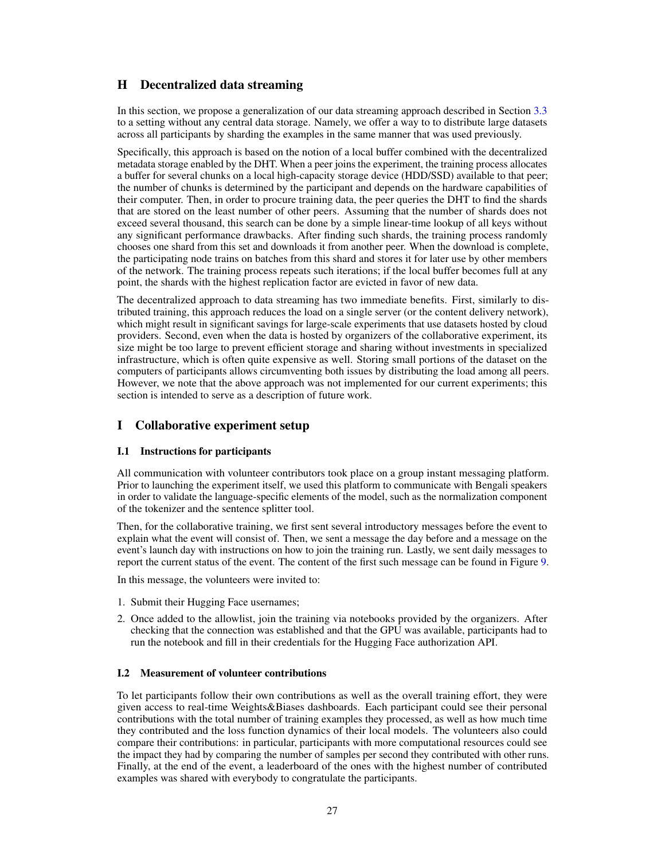# <span id="page-26-0"></span>H Decentralized data streaming

In this section, we propose a generalization of our data streaming approach described in Section [3.3](#page-5-0) to a setting without any central data storage. Namely, we offer a way to to distribute large datasets across all participants by sharding the examples in the same manner that was used previously.

Specifically, this approach is based on the notion of a local buffer combined with the decentralized metadata storage enabled by the DHT. When a peer joins the experiment, the training process allocates a buffer for several chunks on a local high-capacity storage device (HDD/SSD) available to that peer; the number of chunks is determined by the participant and depends on the hardware capabilities of their computer. Then, in order to procure training data, the peer queries the DHT to find the shards that are stored on the least number of other peers. Assuming that the number of shards does not exceed several thousand, this search can be done by a simple linear-time lookup of all keys without any significant performance drawbacks. After finding such shards, the training process randomly chooses one shard from this set and downloads it from another peer. When the download is complete, the participating node trains on batches from this shard and stores it for later use by other members of the network. The training process repeats such iterations; if the local buffer becomes full at any point, the shards with the highest replication factor are evicted in favor of new data.

The decentralized approach to data streaming has two immediate benefits. First, similarly to distributed training, this approach reduces the load on a single server (or the content delivery network), which might result in significant savings for large-scale experiments that use datasets hosted by cloud providers. Second, even when the data is hosted by organizers of the collaborative experiment, its size might be too large to prevent efficient storage and sharing without investments in specialized infrastructure, which is often quite expensive as well. Storing small portions of the dataset on the computers of participants allows circumventing both issues by distributing the load among all peers. However, we note that the above approach was not implemented for our current experiments; this section is intended to serve as a description of future work.

# I Collaborative experiment setup

### I.1 Instructions for participants

All communication with volunteer contributors took place on a group instant messaging platform. Prior to launching the experiment itself, we used this platform to communicate with Bengali speakers in order to validate the language-specific elements of the model, such as the normalization component of the tokenizer and the sentence splitter tool.

Then, for the collaborative training, we first sent several introductory messages before the event to explain what the event will consist of. Then, we sent a message the day before and a message on the event's launch day with instructions on how to join the training run. Lastly, we sent daily messages to report the current status of the event. The content of the first such message can be found in Figure [9.](#page-27-1)

In this message, the volunteers were invited to:

- 1. Submit their Hugging Face usernames;
- 2. Once added to the allowlist, join the training via notebooks provided by the organizers. After checking that the connection was established and that the GPU was available, participants had to run the notebook and fill in their credentials for the Hugging Face authorization API.

### <span id="page-26-1"></span>I.2 Measurement of volunteer contributions

To let participants follow their own contributions as well as the overall training effort, they were given access to real-time Weights&Biases dashboards. Each participant could see their personal contributions with the total number of training examples they processed, as well as how much time they contributed and the loss function dynamics of their local models. The volunteers also could compare their contributions: in particular, participants with more computational resources could see the impact they had by comparing the number of samples per second they contributed with other runs. Finally, at the end of the event, a leaderboard of the ones with the highest number of contributed examples was shared with everybody to congratulate the participants.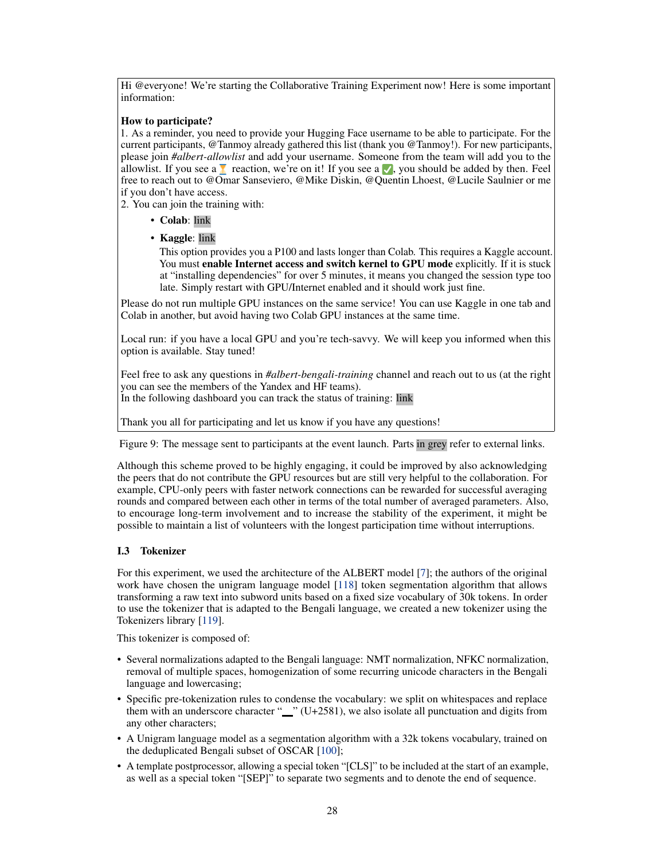<span id="page-27-1"></span>Hi @everyone! We're starting the Collaborative Training Experiment now! Here is some important information:

### How to participate?

1. As a reminder, you need to provide your Hugging Face username to be able to participate. For the current participants, @Tanmoy already gathered this list (thank you @Tanmoy!). For new participants, please join *#albert-allowlist* and add your username. Someone from the team will add you to the allowlist. If you see a  $\bar{X}$  reaction, we're on it! If you see a  $\bar{X}$ , you should be added by then. Feel free to reach out to @Omar Sanseviero, @Mike Diskin, @Quentin Lhoest, @Lucile Saulnier or me if you don't have access.

2. You can join the training with:

- Colab: link
- Kaggle: link

This option provides you a P100 and lasts longer than Colab. This requires a Kaggle account. You must enable Internet access and switch kernel to GPU mode explicitly. If it is stuck at "installing dependencies" for over 5 minutes, it means you changed the session type too late. Simply restart with GPU/Internet enabled and it should work just fine.

Please do not run multiple GPU instances on the same service! You can use Kaggle in one tab and Colab in another, but avoid having two Colab GPU instances at the same time.

Local run: if you have a local GPU and you're tech-savvy. We will keep you informed when this option is available. Stay tuned!

Feel free to ask any questions in *#albert-bengali-training* channel and reach out to us (at the right you can see the members of the Yandex and HF teams).

In the following dashboard you can track the status of training: link

Thank you all for participating and let us know if you have any questions!

Figure 9: The message sent to participants at the event launch. Parts in grey refer to external links.

Although this scheme proved to be highly engaging, it could be improved by also acknowledging the peers that do not contribute the GPU resources but are still very helpful to the collaboration. For example, CPU-only peers with faster network connections can be rewarded for successful averaging rounds and compared between each other in terms of the total number of averaged parameters. Also, to encourage long-term involvement and to increase the stability of the experiment, it might be possible to maintain a list of volunteers with the longest participation time without interruptions.

### <span id="page-27-0"></span>I.3 Tokenizer

For this experiment, we used the architecture of the ALBERT model [\[7\]](#page-10-6); the authors of the original work have chosen the unigram language model [\[118\]](#page-17-5) token segmentation algorithm that allows transforming a raw text into subword units based on a fixed size vocabulary of 30k tokens. In order to use the tokenizer that is adapted to the Bengali language, we created a new tokenizer using the Tokenizers library [\[119\]](#page-17-6).

This tokenizer is composed of:

- Several normalizations adapted to the Bengali language: NMT normalization, NFKC normalization, removal of multiple spaces, homogenization of some recurring unicode characters in the Bengali language and lowercasing;
- Specific pre-tokenization rules to condense the vocabulary: we split on whitespaces and replace them with an underscore character " $\cdots$  " (U+2581), we also isolate all punctuation and digits from any other characters;
- A Unigram language model as a segmentation algorithm with a 32k tokens vocabulary, trained on the deduplicated Bengali subset of OSCAR [\[100\]](#page-16-2);
- A template postprocessor, allowing a special token "[CLS]" to be included at the start of an example, as well as a special token "[SEP]" to separate two segments and to denote the end of sequence.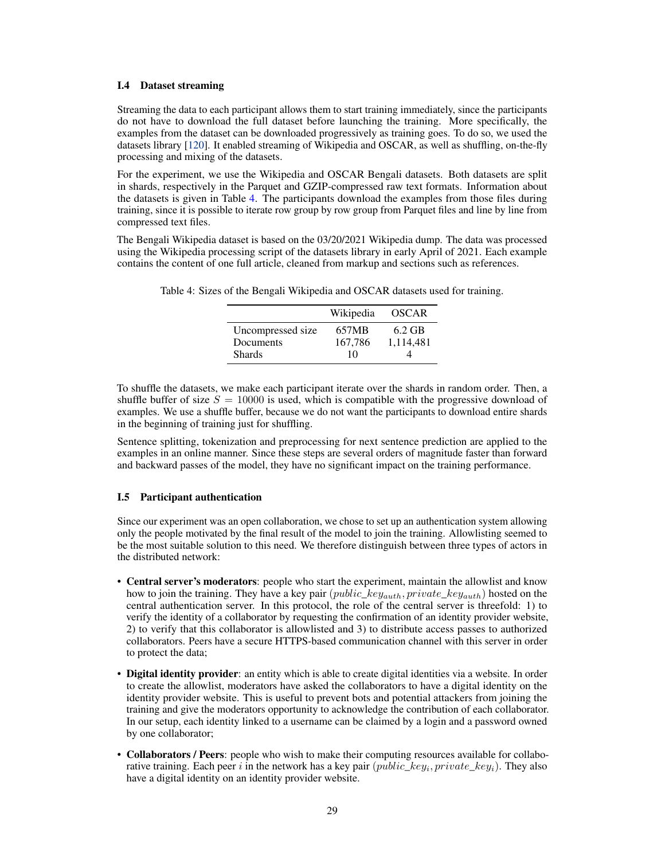### I.4 Dataset streaming

Streaming the data to each participant allows them to start training immediately, since the participants do not have to download the full dataset before launching the training. More specifically, the examples from the dataset can be downloaded progressively as training goes. To do so, we used the datasets library [\[120\]](#page-17-7). It enabled streaming of Wikipedia and OSCAR, as well as shuffling, on-the-fly processing and mixing of the datasets.

For the experiment, we use the Wikipedia and OSCAR Bengali datasets. Both datasets are split in shards, respectively in the Parquet and GZIP-compressed raw text formats. Information about the datasets is given in Table [4.](#page-28-1) The participants download the examples from those files during training, since it is possible to iterate row group by row group from Parquet files and line by line from compressed text files.

The Bengali Wikipedia dataset is based on the 03/20/2021 Wikipedia dump. The data was processed using the Wikipedia processing script of the datasets library in early April of 2021. Each example contains the content of one full article, cleaned from markup and sections such as references.

|                   | Wikipedia | <b>OSCAR</b> |
|-------------------|-----------|--------------|
| Uncompressed size | 657MB     | $6.2$ GB     |
| Documents         | 167,786   | 1,114,481    |
| <b>Shards</b>     | 10        |              |

<span id="page-28-1"></span>Table 4: Sizes of the Bengali Wikipedia and OSCAR datasets used for training.

To shuffle the datasets, we make each participant iterate over the shards in random order. Then, a shuffle buffer of size  $S = 10000$  is used, which is compatible with the progressive download of examples. We use a shuffle buffer, because we do not want the participants to download entire shards in the beginning of training just for shuffling.

Sentence splitting, tokenization and preprocessing for next sentence prediction are applied to the examples in an online manner. Since these steps are several orders of magnitude faster than forward and backward passes of the model, they have no significant impact on the training performance.

### <span id="page-28-0"></span>I.5 Participant authentication

Since our experiment was an open collaboration, we chose to set up an authentication system allowing only the people motivated by the final result of the model to join the training. Allowlisting seemed to be the most suitable solution to this need. We therefore distinguish between three types of actors in the distributed network:

- Central server's moderators: people who start the experiment, maintain the allowlist and know how to join the training. They have a key pair  $(public\_key_{auth}, private\_key_{auth})$  hosted on the central authentication server. In this protocol, the role of the central server is threefold: 1) to verify the identity of a collaborator by requesting the confirmation of an identity provider website, 2) to verify that this collaborator is allowlisted and 3) to distribute access passes to authorized collaborators. Peers have a secure HTTPS-based communication channel with this server in order to protect the data;
- Digital identity provider: an entity which is able to create digital identities via a website. In order to create the allowlist, moderators have asked the collaborators to have a digital identity on the identity provider website. This is useful to prevent bots and potential attackers from joining the training and give the moderators opportunity to acknowledge the contribution of each collaborator. In our setup, each identity linked to a username can be claimed by a login and a password owned by one collaborator;
- Collaborators / Peers: people who wish to make their computing resources available for collaborative training. Each peer i in the network has a key pair  $(public\_key_i, private\_key_i)$ . They also have a digital identity on an identity provider website.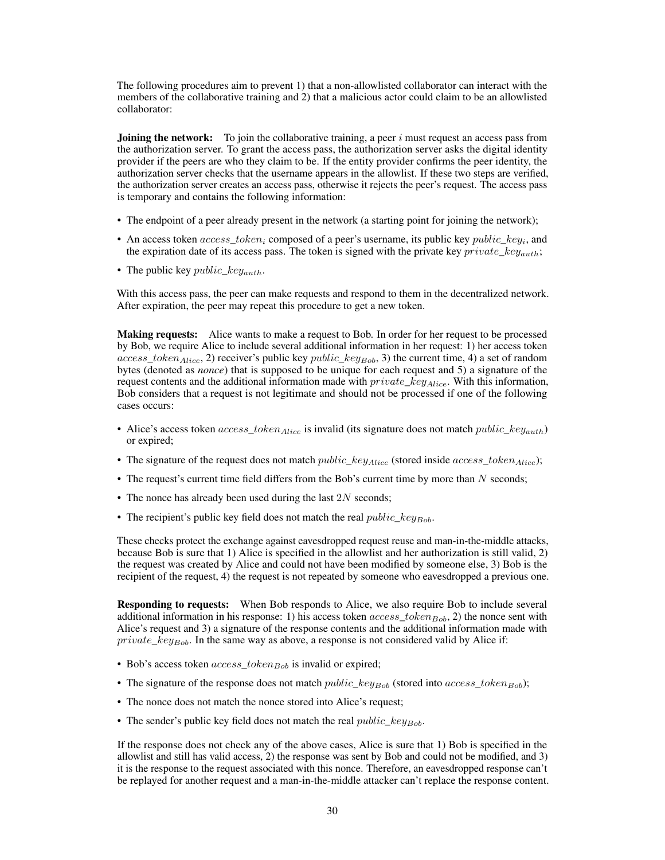The following procedures aim to prevent 1) that a non-allowlisted collaborator can interact with the members of the collaborative training and 2) that a malicious actor could claim to be an allowlisted collaborator:

**Joining the network:** To join the collaborative training, a peer  $i$  must request an access pass from the authorization server. To grant the access pass, the authorization server asks the digital identity provider if the peers are who they claim to be. If the entity provider confirms the peer identity, the authorization server checks that the username appears in the allowlist. If these two steps are verified, the authorization server creates an access pass, otherwise it rejects the peer's request. The access pass is temporary and contains the following information:

- The endpoint of a peer already present in the network (a starting point for joining the network);
- An access token  $access\_token_i$  composed of a peer's username, its public key  $public\_key_i$ , and the expiration date of its access pass. The token is signed with the private key  $private\_key_{auth}$ ;
- The public key *public\_key<sub>auth</sub>*.

With this access pass, the peer can make requests and respond to them in the decentralized network. After expiration, the peer may repeat this procedure to get a new token.

Making requests: Alice wants to make a request to Bob. In order for her request to be processed by Bob, we require Alice to include several additional information in her request: 1) her access token  $access\_token_{Alice}$ , 2) receiver's public key  $public\_key_{Bob}$ , 3) the current time, 4) a set of random bytes (denoted as *nonce*) that is supposed to be unique for each request and 5) a signature of the request contents and the additional information made with  $private\_key_{Alice}$ . With this information, Bob considers that a request is not legitimate and should not be processed if one of the following cases occurs:

- Alice's access token  $access\_token_{Alice}$  is invalid (its signature does not match *public\_key<sub>auth</sub>*) or expired;
- The signature of the request does not match  $public\_key_{Alice}$  (stored inside  $access\_token_{Alice}$ );
- The request's current time field differs from the Bob's current time by more than  $N$  seconds;
- The nonce has already been used during the last  $2N$  seconds;
- The recipient's public key field does not match the real  $public\_key_{Bob}$ .

These checks protect the exchange against eavesdropped request reuse and man-in-the-middle attacks, because Bob is sure that 1) Alice is specified in the allowlist and her authorization is still valid, 2) the request was created by Alice and could not have been modified by someone else, 3) Bob is the recipient of the request, 4) the request is not repeated by someone who eavesdropped a previous one.

Responding to requests: When Bob responds to Alice, we also require Bob to include several additional information in his response: 1) his access token  $access\_token_{Bob}$ , 2) the nonce sent with Alice's request and 3) a signature of the response contents and the additional information made with  $private\_key_{Bob}$ . In the same way as above, a response is not considered valid by Alice if:

- Bob's access token  $access\_token_{Bob}$  is invalid or expired;
- The signature of the response does not match *public\_key<sub>Bob</sub>* (stored into *access\_token<sub>Bob</sub>*);
- The nonce does not match the nonce stored into Alice's request;
- The sender's public key field does not match the real  $public\_key_{Bob}$ .

If the response does not check any of the above cases, Alice is sure that 1) Bob is specified in the allowlist and still has valid access, 2) the response was sent by Bob and could not be modified, and 3) it is the response to the request associated with this nonce. Therefore, an eavesdropped response can't be replayed for another request and a man-in-the-middle attacker can't replace the response content.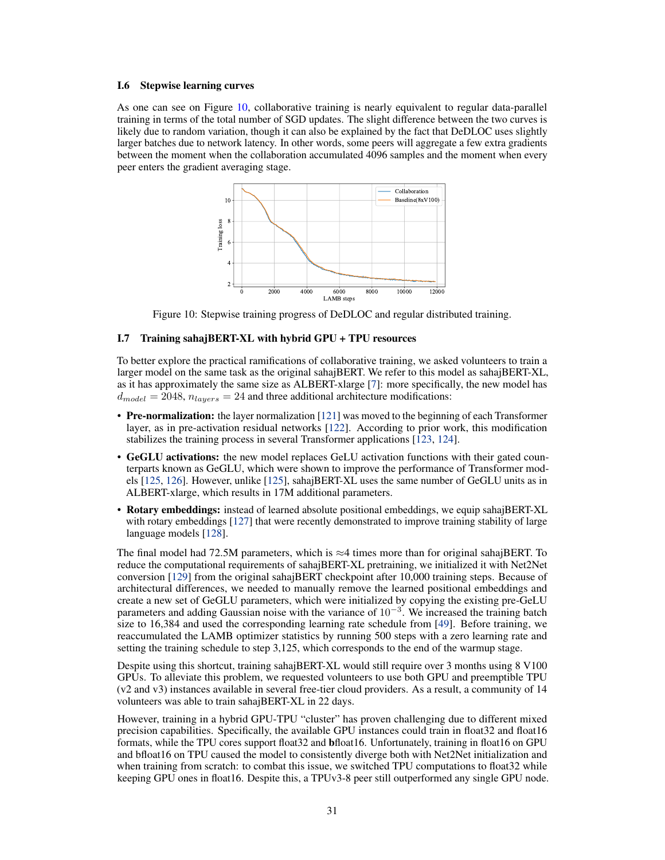#### <span id="page-30-1"></span>I.6 Stepwise learning curves

<span id="page-30-2"></span>As one can see on Figure [10,](#page-30-2) collaborative training is nearly equivalent to regular data-parallel training in terms of the total number of SGD updates. The slight difference between the two curves is likely due to random variation, though it can also be explained by the fact that DeDLOC uses slightly larger batches due to network latency. In other words, some peers will aggregate a few extra gradients between the moment when the collaboration accumulated 4096 samples and the moment when every peer enters the gradient averaging stage.



Figure 10: Stepwise training progress of DeDLOC and regular distributed training.

### <span id="page-30-0"></span>I.7 Training sahajBERT-XL with hybrid GPU + TPU resources

To better explore the practical ramifications of collaborative training, we asked volunteers to train a larger model on the same task as the original sahajBERT. We refer to this model as sahajBERT-XL, as it has approximately the same size as ALBERT-xlarge [\[7\]](#page-10-6): more specifically, the new model has  $d_{model} = 2048$ ,  $n_{layers} = 24$  and three additional architecture modifications:

- Pre-normalization: the layer normalization [\[121\]](#page-17-8) was moved to the beginning of each Transformer layer, as in pre-activation residual networks [\[122\]](#page-17-9). According to prior work, this modification stabilizes the training process in several Transformer applications [\[123,](#page-17-10) [124\]](#page-18-0).
- GeGLU activations: the new model replaces GeLU activation functions with their gated counterparts known as GeGLU, which were shown to improve the performance of Transformer models [\[125,](#page-18-1) [126\]](#page-18-2). However, unlike [\[125\]](#page-18-1), sahajBERT-XL uses the same number of GeGLU units as in ALBERT-xlarge, which results in 17M additional parameters.
- Rotary embeddings: instead of learned absolute positional embeddings, we equip sahajBERT-XL with rotary embeddings [\[127\]](#page-18-3) that were recently demonstrated to improve training stability of large language models [\[128\]](#page-18-4).

The final model had 72.5M parameters, which is  $\approx$ 4 times more than for original sahajBERT. To reduce the computational requirements of sahajBERT-XL pretraining, we initialized it with Net2Net conversion [\[129\]](#page-18-5) from the original sahajBERT checkpoint after 10,000 training steps. Because of architectural differences, we needed to manually remove the learned positional embeddings and create a new set of GeGLU parameters, which were initialized by copying the existing pre-GeLU parameters and adding Gaussian noise with the variance of  $10^{-3}$ . We increased the training batch size to 16,384 and used the corresponding learning rate schedule from [\[49\]](#page-13-4). Before training, we reaccumulated the LAMB optimizer statistics by running 500 steps with a zero learning rate and setting the training schedule to step 3,125, which corresponds to the end of the warmup stage.

Despite using this shortcut, training sahajBERT-XL would still require over 3 months using 8 V100 GPUs. To alleviate this problem, we requested volunteers to use both GPU and preemptible TPU (v2 and v3) instances available in several free-tier cloud providers. As a result, a community of 14 volunteers was able to train sahajBERT-XL in 22 days.

However, training in a hybrid GPU-TPU "cluster" has proven challenging due to different mixed precision capabilities. Specifically, the available GPU instances could train in float32 and float16 formats, while the TPU cores support float32 and bfloat16. Unfortunately, training in float16 on GPU and bfloat16 on TPU caused the model to consistently diverge both with Net2Net initialization and when training from scratch: to combat this issue, we switched TPU computations to float 32 while keeping GPU ones in float16. Despite this, a TPUv3-8 peer still outperformed any single GPU node.